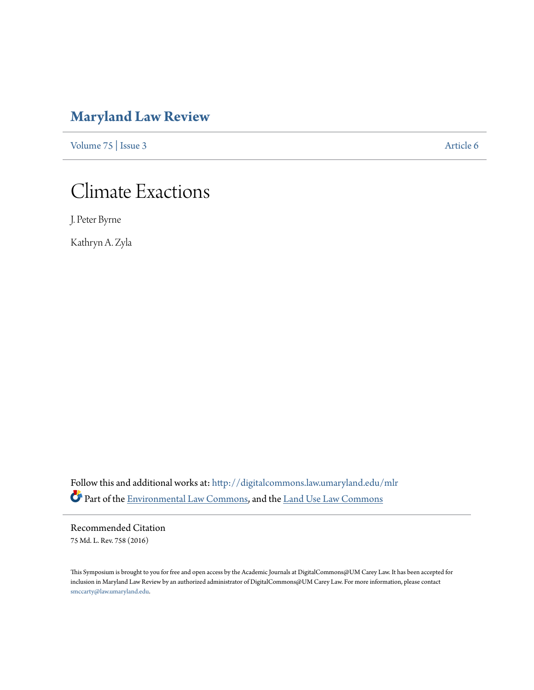# **[Maryland Law Review](http://digitalcommons.law.umaryland.edu/mlr?utm_source=digitalcommons.law.umaryland.edu%2Fmlr%2Fvol75%2Fiss3%2F6&utm_medium=PDF&utm_campaign=PDFCoverPages)**

[Volume 75](http://digitalcommons.law.umaryland.edu/mlr/vol75?utm_source=digitalcommons.law.umaryland.edu%2Fmlr%2Fvol75%2Fiss3%2F6&utm_medium=PDF&utm_campaign=PDFCoverPages) | [Issue 3](http://digitalcommons.law.umaryland.edu/mlr/vol75/iss3?utm_source=digitalcommons.law.umaryland.edu%2Fmlr%2Fvol75%2Fiss3%2F6&utm_medium=PDF&utm_campaign=PDFCoverPages) [Article 6](http://digitalcommons.law.umaryland.edu/mlr/vol75/iss3/6?utm_source=digitalcommons.law.umaryland.edu%2Fmlr%2Fvol75%2Fiss3%2F6&utm_medium=PDF&utm_campaign=PDFCoverPages)

# Climate Exactions

J. Peter Byrne

Kathryn A. Zyla

Follow this and additional works at: [http://digitalcommons.law.umaryland.edu/mlr](http://digitalcommons.law.umaryland.edu/mlr?utm_source=digitalcommons.law.umaryland.edu%2Fmlr%2Fvol75%2Fiss3%2F6&utm_medium=PDF&utm_campaign=PDFCoverPages) Part of the [Environmental Law Commons](http://network.bepress.com/hgg/discipline/599?utm_source=digitalcommons.law.umaryland.edu%2Fmlr%2Fvol75%2Fiss3%2F6&utm_medium=PDF&utm_campaign=PDFCoverPages), and the [Land Use Law Commons](http://network.bepress.com/hgg/discipline/852?utm_source=digitalcommons.law.umaryland.edu%2Fmlr%2Fvol75%2Fiss3%2F6&utm_medium=PDF&utm_campaign=PDFCoverPages)

Recommended Citation 75 Md. L. Rev. 758 (2016)

This Symposium is brought to you for free and open access by the Academic Journals at DigitalCommons@UM Carey Law. It has been accepted for inclusion in Maryland Law Review by an authorized administrator of DigitalCommons@UM Carey Law. For more information, please contact [smccarty@law.umaryland.edu.](mailto:smccarty@law.umaryland.edu)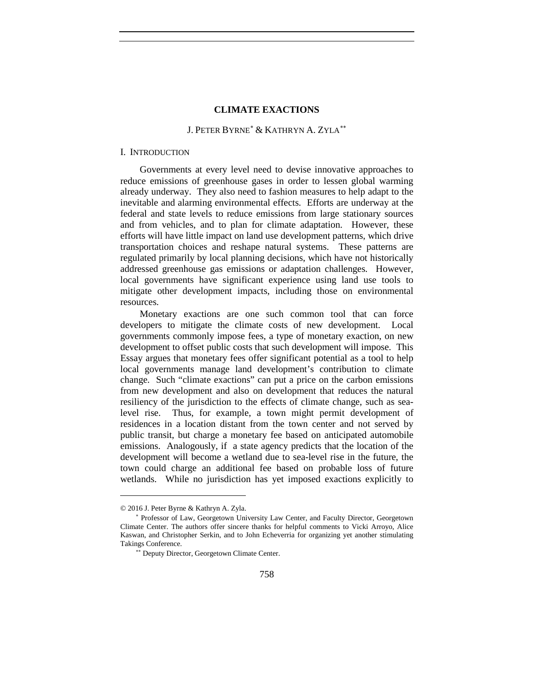# J. PETER BYRNE[∗](#page-1-0) & KATHRYN A. ZYLA[∗∗](#page-1-1)

#### I. INTRODUCTION

Governments at every level need to devise innovative approaches to reduce emissions of greenhouse gases in order to lessen global warming already underway. They also need to fashion measures to help adapt to the inevitable and alarming environmental effects. Efforts are underway at the federal and state levels to reduce emissions from large stationary sources and from vehicles, and to plan for climate adaptation. However, these efforts will have little impact on land use development patterns, which drive transportation choices and reshape natural systems. These patterns are regulated primarily by local planning decisions, which have not historically addressed greenhouse gas emissions or adaptation challenges. However, local governments have significant experience using land use tools to mitigate other development impacts, including those on environmental resources.

Monetary exactions are one such common tool that can force developers to mitigate the climate costs of new development. Local governments commonly impose fees, a type of monetary exaction, on new development to offset public costs that such development will impose. This Essay argues that monetary fees offer significant potential as a tool to help local governments manage land development's contribution to climate change. Such "climate exactions" can put a price on the carbon emissions from new development and also on development that reduces the natural resiliency of the jurisdiction to the effects of climate change, such as sealevel rise. Thus, for example, a town might permit development of residences in a location distant from the town center and not served by public transit, but charge a monetary fee based on anticipated automobile emissions. Analogously, if a state agency predicts that the location of the development will become a wetland due to sea-level rise in the future, the town could charge an additional fee based on probable loss of future wetlands. While no jurisdiction has yet imposed exactions explicitly to

<span id="page-1-0"></span><sup>© 2016</sup> J. Peter Byrne & Kathryn A. Zyla.

<span id="page-1-1"></span><sup>∗</sup> Professor of Law, Georgetown University Law Center, and Faculty Director, Georgetown Climate Center. The authors offer sincere thanks for helpful comments to Vicki Arroyo, Alice Kaswan, and Christopher Serkin, and to John Echeverria for organizing yet another stimulating Takings Conference.

<sup>∗∗</sup> Deputy Director, Georgetown Climate Center.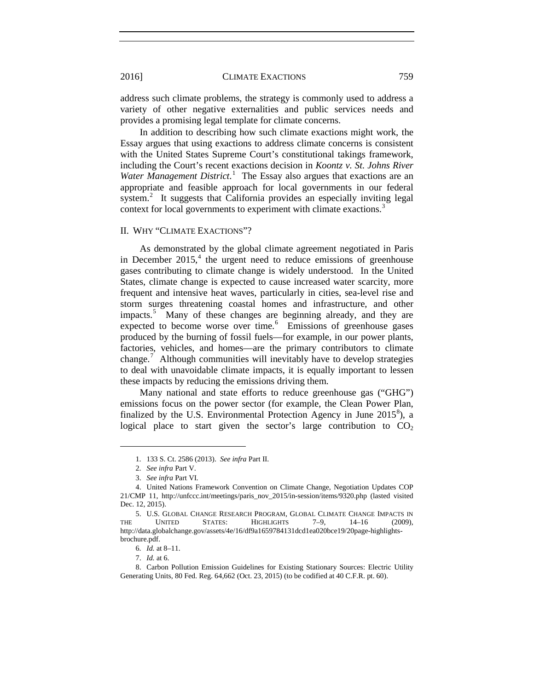address such climate problems, the strategy is commonly used to address a variety of other negative externalities and public services needs and provides a promising legal template for climate concerns.

In addition to describing how such climate exactions might work, the Essay argues that using exactions to address climate concerns is consistent with the United States Supreme Court's constitutional takings framework, including the Court's recent exactions decision in *Koontz v. St. Johns River*  Water Management District.<sup>[1](#page-2-0)</sup> The Essay also argues that exactions are an appropriate and feasible approach for local governments in our federal system.<sup>[2](#page-2-1)</sup> It suggests that California provides an especially inviting legal context for local governments to experiment with climate exactions.<sup>[3](#page-2-2)</sup>

# II. WHY "CLIMATE EXACTIONS"?

As demonstrated by the global climate agreement negotiated in Paris in December  $2015<sup>4</sup>$  $2015<sup>4</sup>$  $2015<sup>4</sup>$ , the urgent need to reduce emissions of greenhouse gases contributing to climate change is widely understood. In the United States, climate change is expected to cause increased water scarcity, more frequent and intensive heat waves, particularly in cities, sea-level rise and storm surges threatening coastal homes and infrastructure, and other impacts.<sup>[5](#page-2-4)</sup> Many of these changes are beginning already, and they are expected to become worse over time.<sup>[6](#page-2-5)</sup> Emissions of greenhouse gases produced by the burning of fossil fuels—for example, in our power plants, factories, vehicles, and homes—are the primary contributors to climate change.<sup>[7](#page-2-6)</sup> Although communities will inevitably have to develop strategies to deal with unavoidable climate impacts, it is equally important to lessen these impacts by reducing the emissions driving them.

Many national and state efforts to reduce greenhouse gas ("GHG") emissions focus on the power sector (for example, the Clean Power Plan, finalized by the U.S. Environmental Protection Agency in June  $2015^8$  $2015^8$ ), a logical place to start given the sector's large contribution to  $CO<sub>2</sub>$ 

<sup>1.</sup> 133 S. Ct. 2586 (2013). *See infra* Part II.

<sup>2.</sup> *See infra* Part V.

<sup>3.</sup> *See infra* Part VI*.* 

<span id="page-2-3"></span><span id="page-2-2"></span><span id="page-2-1"></span><span id="page-2-0"></span><sup>4.</sup> United Nations Framework Convention on Climate Change, Negotiation Updates COP 21/CMP 11, http://unfccc.int/meetings/paris\_nov\_2015/in-session/items/9320.php (lasted visited Dec. 12, 2015).

<span id="page-2-4"></span><sup>5.</sup> U.S. GLOBAL CHANGE RESEARCH PROGRAM, GLOBAL CLIMATE CHANGE IMPACTS IN THE UNITED STATES: HIGHLIGHTS 7–9, 14–16 (2009), http://data.globalchange.gov/assets/4e/16/df9a1659784131dcd1ea020bce19/20page-highlightsbrochure.pdf.

<sup>6.</sup> *Id.* at 8–11.

<sup>7.</sup> *Id.* at 6.

<span id="page-2-7"></span><span id="page-2-6"></span><span id="page-2-5"></span><sup>8.</sup> Carbon Pollution Emission Guidelines for Existing Stationary Sources: Electric Utility Generating Units, 80 Fed. Reg. 64,662 (Oct. 23, 2015) (to be codified at 40 C.F.R. pt. 60).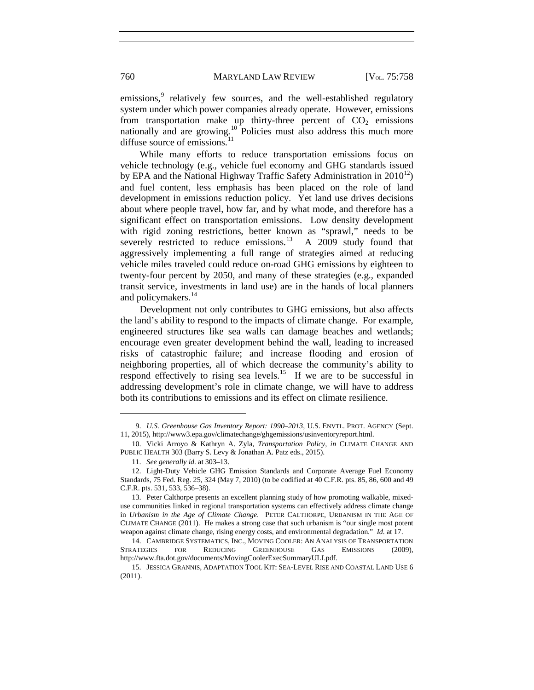emissions,<sup>[9](#page-3-0)</sup> relatively few sources, and the well-established regulatory system under which power companies already operate. However, emissions from transportation make up thirty-three percent of  $CO<sub>2</sub>$  emissions nationally and are growing.<sup>[10](#page-3-1)</sup> Policies must also address this much more diffuse source of emissions.<sup>[11](#page-3-2)</sup>

While many efforts to reduce transportation emissions focus on vehicle technology (e.g., vehicle fuel economy and GHG standards issued by EPA and the National Highway Traffic Safety Administration in  $2010^{12}$  $2010^{12}$  $2010^{12}$ ) and fuel content, less emphasis has been placed on the role of land development in emissions reduction policy. Yet land use drives decisions about where people travel, how far, and by what mode, and therefore has a significant effect on transportation emissions. Low density development with rigid zoning restrictions, better known as "sprawl," needs to be severely restricted to reduce emissions.<sup>[13](#page-3-4)</sup> A 2009 study found that aggressively implementing a full range of strategies aimed at reducing vehicle miles traveled could reduce on-road GHG emissions by eighteen to twenty-four percent by 2050, and many of these strategies (e.g., expanded transit service, investments in land use) are in the hands of local planners and policymakers.<sup>[14](#page-3-5)</sup>

<span id="page-3-7"></span>Development not only contributes to GHG emissions, but also affects the land's ability to respond to the impacts of climate change. For example, engineered structures like sea walls can damage beaches and wetlands; encourage even greater development behind the wall, leading to increased risks of catastrophic failure; and increase flooding and erosion of neighboring properties, all of which decrease the community's ability to respond effectively to rising sea levels.<sup>[15](#page-3-6)</sup> If we are to be successful in addressing development's role in climate change, we will have to address both its contributions to emissions and its effect on climate resilience.

<span id="page-3-0"></span><sup>9.</sup> *U.S. Greenhouse Gas Inventory Report: 1990–2013*, U.S. ENVTL. PROT. AGENCY (Sept. 11, 2015), http://www3.epa.gov/climatechange/ghgemissions/usinventoryreport.html.

<span id="page-3-1"></span><sup>10.</sup> Vicki Arroyo & Kathryn A. Zyla, *Transportation Policy*, *in* CLIMATE CHANGE AND PUBLIC HEALTH 303 (Barry S. Levy & Jonathan A. Patz eds., 2015).

<sup>11.</sup> *See generally id.* at 303–13.

<span id="page-3-3"></span><span id="page-3-2"></span><sup>12.</sup> Light-Duty Vehicle GHG Emission Standards and Corporate Average Fuel Economy Standards, 75 Fed. Reg. 25, 324 (May 7, 2010) (to be codified at 40 C.F.R. pts. 85, 86, 600 and 49 C.F.R. pts. 531, 533, 536–38).

<span id="page-3-4"></span><sup>13.</sup> Peter Calthorpe presents an excellent planning study of how promoting walkable, mixeduse communities linked in regional transportation systems can effectively address climate change in *Urbanism in the Age of Climate Change*. PETER CALTHORPE, URBANISM IN THE AGE OF CLIMATE CHANGE (2011). He makes a strong case that such urbanism is "our single most potent weapon against climate change, rising energy costs, and environmental degradation." *Id.* at 17.

<span id="page-3-5"></span><sup>14.</sup> CAMBRIDGE SYSTEMATICS, INC., MOVING COOLER: AN ANALYSIS OF TRANSPORTATION STRATEGIES FOR REDUCING GREENHOUSE GAS EMISSIONS (2009), http://www.fta.dot.gov/documents/MovingCoolerExecSummaryULI.pdf.

<span id="page-3-6"></span><sup>15.</sup> JESSICA GRANNIS, ADAPTATION TOOL KIT: SEA-LEVEL RISE AND COASTAL LAND USE 6 (2011).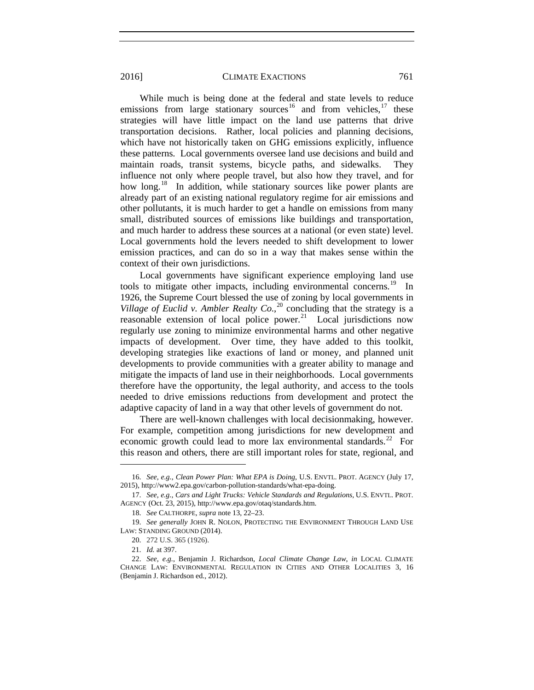While much is being done at the federal and state levels to reduce emissions from large stationary sources<sup>[16](#page-4-0)</sup> and from vehicles,<sup>[17](#page-4-1)</sup> these strategies will have little impact on the land use patterns that drive transportation decisions. Rather, local policies and planning decisions, which have not historically taken on GHG emissions explicitly, influence these patterns. Local governments oversee land use decisions and build and maintain roads, transit systems, bicycle paths, and sidewalks. They influence not only where people travel, but also how they travel, and for how long.<sup>18</sup> In addition, while stationary sources like power plants are already part of an existing national regulatory regime for air emissions and other pollutants, it is much harder to get a handle on emissions from many small, distributed sources of emissions like buildings and transportation, and much harder to address these sources at a national (or even state) level. Local governments hold the levers needed to shift development to lower emission practices, and can do so in a way that makes sense within the context of their own jurisdictions.

Local governments have significant experience employing land use tools to mitigate other impacts, including environmental concerns.<sup>[19](#page-4-3)</sup> In 1926, the Supreme Court blessed the use of zoning by local governments in *Village of Euclid v. Ambler Realty Co.*,<sup>[20](#page-4-4)</sup> concluding that the strategy is a reasonable extension of local police power.<sup>21</sup> Local jurisdictions now regularly use zoning to minimize environmental harms and other negative impacts of development. Over time, they have added to this toolkit, developing strategies like exactions of land or money, and planned unit developments to provide communities with a greater ability to manage and mitigate the impacts of land use in their neighborhoods. Local governments therefore have the opportunity, the legal authority, and access to the tools needed to drive emissions reductions from development and protect the adaptive capacity of land in a way that other levels of government do not.

There are well-known challenges with local decisionmaking, however. For example, competition among jurisdictions for new development and economic growth could lead to more lax environmental standards.<sup>22</sup> For this reason and others, there are still important roles for state, regional, and

<span id="page-4-0"></span><sup>16.</sup> *See, e.g.*, *Clean Power Plan: What EPA is Doing*, U.S. ENVTL. PROT. AGENCY (July 17, 2015), http://www2.epa.gov/carbon-pollution-standards/what-epa-doing.

<span id="page-4-1"></span><sup>17.</sup> *See, e.g.*, *Cars and Light Trucks: Vehicle Standards and Regulations*, U.S. ENVTL. PROT. AGENCY (Oct. 23, 2015), http://www.epa.gov/otaq/standards.htm.

<sup>18.</sup> *See* CALTHORPE, *supra* note [13,](#page-3-7) 22–23.

<span id="page-4-4"></span><span id="page-4-3"></span><span id="page-4-2"></span><sup>19.</sup> *See generally* JOHN R. NOLON, PROTECTING THE ENVIRONMENT THROUGH LAND USE LAW: STANDING GROUND (2014).

<sup>20.</sup> 272 U.S. 365 (1926).

<sup>21.</sup> *Id.* at 397.

<span id="page-4-6"></span><span id="page-4-5"></span><sup>22.</sup> *See, e.g.*, Benjamin J. Richardson, *Local Climate Change Law*, *in* LOCAL CLIMATE CHANGE LAW: ENVIRONMENTAL REGULATION IN CITIES AND OTHER LOCALITIES 3, 16 (Benjamin J. Richardson ed., 2012).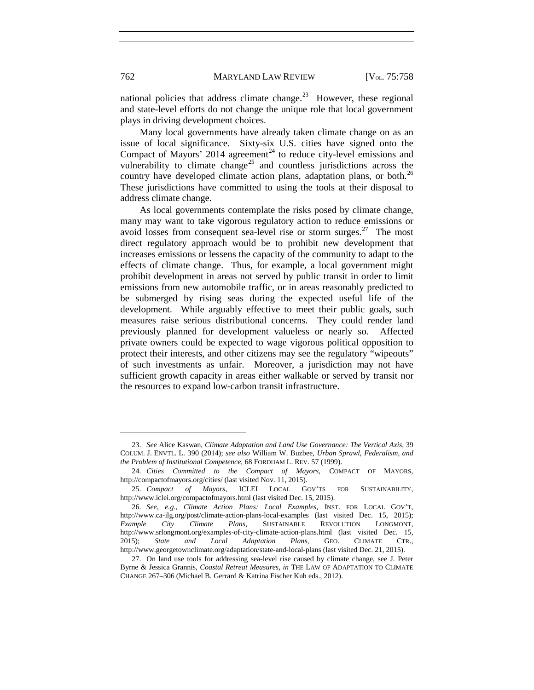national policies that address climate change.<sup>[23](#page-5-0)</sup> However, these regional and state-level efforts do not change the unique role that local government plays in driving development choices.

Many local governments have already taken climate change on as an issue of local significance. Sixty-six U.S. cities have signed onto the Compact of Mayors' 2014 agreement<sup>[24](#page-5-1)</sup> to reduce city-level emissions and vulnerability to climate change<sup>[25](#page-5-2)</sup> and countless jurisdictions across the country have developed climate action plans, adaptation plans, or both.<sup>[26](#page-5-3)</sup> These jurisdictions have committed to using the tools at their disposal to address climate change.

As local governments contemplate the risks posed by climate change, many may want to take vigorous regulatory action to reduce emissions or avoid losses from consequent sea-level rise or storm surges.<sup>[27](#page-5-4)</sup> The most direct regulatory approach would be to prohibit new development that increases emissions or lessens the capacity of the community to adapt to the effects of climate change. Thus, for example, a local government might prohibit development in areas not served by public transit in order to limit emissions from new automobile traffic, or in areas reasonably predicted to be submerged by rising seas during the expected useful life of the development. While arguably effective to meet their public goals, such measures raise serious distributional concerns. They could render land previously planned for development valueless or nearly so. Affected private owners could be expected to wage vigorous political opposition to protect their interests, and other citizens may see the regulatory "wipeouts" of such investments as unfair. Moreover, a jurisdiction may not have sufficient growth capacity in areas either walkable or served by transit nor the resources to expand low-carbon transit infrastructure.

<span id="page-5-0"></span><sup>23.</sup> *See* Alice Kaswan, *Climate Adaptation and Land Use Governance: The Vertical Axis*, 39 COLUM. J. ENVTL. L. 390 (2014); *see also* William W. Buzbee, *Urban Sprawl, Federalism, and the Problem of Institutional Competence,* 68 FORDHAM L. REV. 57 (1999).

<span id="page-5-1"></span><sup>24.</sup> *Cities Committed to the Compact of Mayors*, COMPACT OF MAYORS, http://compactofmayors.org/cities/ (last visited Nov. 11, 2015).

<span id="page-5-2"></span><sup>25.</sup> *Compact of Mayors*, ICLEI LOCAL GOV'TS FOR SUSTAINABILITY, http://www.iclei.org/compactofmayors.html (last visited Dec. 15, 2015).

<span id="page-5-3"></span><sup>26.</sup> *See, e.g.*, *Climate Action Plans: Local Examples*, INST. FOR LOCAL GOV'T, http://www.ca-ilg.org/post/climate-action-plans-local-examples (last visited Dec. 15, 2015); *Example City Climate Plans*, SUSTAINABLE REVOLUTION LONGMONT, http://www.srlongmont.org/examples-of-city-climate-action-plans.html (last visited Dec. 15, 2015); State and Local Adaptation Plans, GEO. CLIMATE CTR., Local Adaptation Plans, GEO. CLIMATE http://www.georgetownclimate.org/adaptation/state-and-local-plans (last visited Dec. 21, 2015).

<span id="page-5-4"></span><sup>27.</sup> On land use tools for addressing sea-level rise caused by climate change, see J. Peter Byrne & Jessica Grannis, *Coastal Retreat Measures*, *in* THE LAW OF ADAPTATION TO CLIMATE CHANGE 267–306 (Michael B. Gerrard & Katrina Fischer Kuh eds., 2012).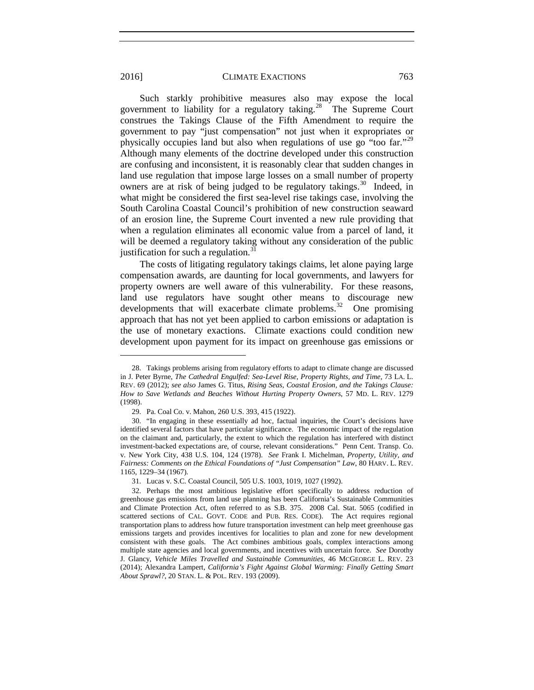Such starkly prohibitive measures also may expose the local government to liability for a regulatory taking.<sup>[28](#page-6-0)</sup> The Supreme Court construes the Takings Clause of the Fifth Amendment to require the government to pay "just compensation" not just when it expropriates or physically occupies land but also when regulations of use go "too far."[29](#page-6-1) Although many elements of the doctrine developed under this construction are confusing and inconsistent, it is reasonably clear that sudden changes in land use regulation that impose large losses on a small number of property owners are at risk of being judged to be regulatory takings.<sup>[30](#page-6-2)</sup> Indeed, in what might be considered the first sea-level rise takings case, involving the South Carolina Coastal Council's prohibition of new construction seaward of an erosion line, the Supreme Court invented a new rule providing that when a regulation eliminates all economic value from a parcel of land, it will be deemed a regulatory taking without any consideration of the public justification for such a regulation. $31$ 

<span id="page-6-5"></span>The costs of litigating regulatory takings claims, let alone paying large compensation awards, are daunting for local governments, and lawyers for property owners are well aware of this vulnerability. For these reasons, land use regulators have sought other means to discourage new developments that will exacerbate climate problems.<sup>[32](#page-6-4)</sup> One promising approach that has not yet been applied to carbon emissions or adaptation is the use of monetary exactions. Climate exactions could condition new development upon payment for its impact on greenhouse gas emissions or

<span id="page-6-0"></span><sup>28.</sup> Takings problems arising from regulatory efforts to adapt to climate change are discussed in J. Peter Byrne, *The Cathedral Engulfed: Sea-Level Rise, Property Rights, and Time*, 73 LA. L. REV. 69 (2012); *see also* James G. Titus, *Rising Seas, Coastal Erosion, and the Takings Clause: How to Save Wetlands and Beaches Without Hurting Property Owners*, 57 MD. L. REV. 1279 (1998).

<sup>29.</sup> Pa. Coal Co. v. Mahon, 260 U.S. 393, 415 (1922).

<span id="page-6-2"></span><span id="page-6-1"></span><sup>30.</sup> "In engaging in these essentially ad hoc, factual inquiries, the Court's decisions have identified several factors that have particular significance. The economic impact of the regulation on the claimant and, particularly, the extent to which the regulation has interfered with distinct investment-backed expectations are, of course, relevant considerations*.*"Penn Cent. Transp. Co. v. New York City, 438 U.S. 104, 124 (1978). *See* Frank I. Michelman*, Property, Utility, and Fairness: Comments on the Ethical Foundations of "Just Compensation" Law*, 80 HARV. L. REV. 1165, 1229–34 (1967).

<sup>31.</sup> Lucas v. S.C. Coastal Council, 505 U.S. 1003, 1019, 1027 (1992).

<span id="page-6-4"></span><span id="page-6-3"></span><sup>32.</sup> Perhaps the most ambitious legislative effort specifically to address reduction of greenhouse gas emissions from land use planning has been California's Sustainable Communities and Climate Protection Act, often referred to as S.B. 375. 2008 Cal. Stat. 5065 (codified in scattered sections of CAL. GOVT. CODE and PUB. RES. CODE). The Act requires regional transportation plans to address how future transportation investment can help meet greenhouse gas emissions targets and provides incentives for localities to plan and zone for new development consistent with these goals. The Act combines ambitious goals, complex interactions among multiple state agencies and local governments, and incentives with uncertain force. *See* Dorothy J. Glancy, *Vehicle Miles Travelled and Sustainable Communities*, 46 MCGEORGE L. REV. 23 (2014); Alexandra Lampert, *California's Fight Against Global Warming: Finally Getting Smart About Sprawl?*, 20 STAN. L. & POL. REV. 193 (2009).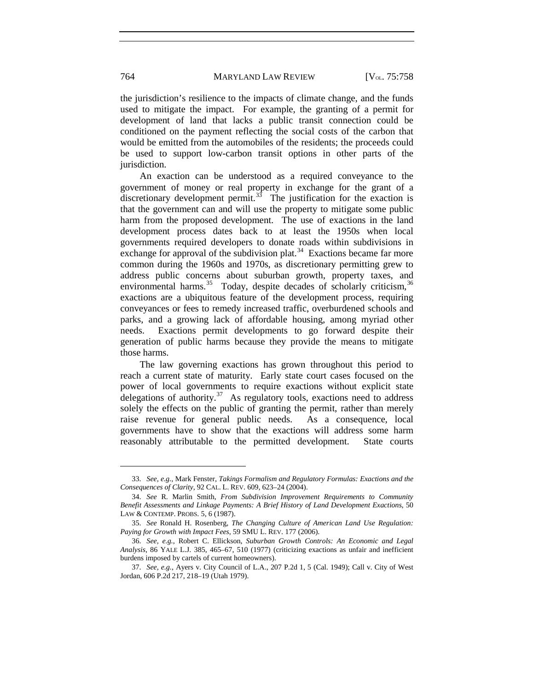the jurisdiction's resilience to the impacts of climate change, and the funds used to mitigate the impact. For example, the granting of a permit for development of land that lacks a public transit connection could be conditioned on the payment reflecting the social costs of the carbon that would be emitted from the automobiles of the residents; the proceeds could be used to support low-carbon transit options in other parts of the jurisdiction.

An exaction can be understood as a required conveyance to the government of money or real property in exchange for the grant of a discretionary development permit.<sup>33</sup> The justification for the exaction is that the government can and will use the property to mitigate some public harm from the proposed development. The use of exactions in the land development process dates back to at least the 1950s when local governments required developers to donate roads within subdivisions in exchange for approval of the subdivision plat.<sup>[34](#page-7-1)</sup> Exactions became far more common during the 1960s and 1970s, as discretionary permitting grew to address public concerns about suburban growth, property taxes, and environmental harms.<sup>35</sup> Today, despite decades of scholarly criticism,<sup>[36](#page-7-3)</sup> exactions are a ubiquitous feature of the development process, requiring conveyances or fees to remedy increased traffic, overburdened schools and parks, and a growing lack of affordable housing, among myriad other needs. Exactions permit developments to go forward despite their generation of public harms because they provide the means to mitigate those harms.

<span id="page-7-5"></span>The law governing exactions has grown throughout this period to reach a current state of maturity. Early state court cases focused on the power of local governments to require exactions without explicit state delegations of authority. $37$  As regulatory tools, exactions need to address solely the effects on the public of granting the permit, rather than merely raise revenue for general public needs. As a consequence, local governments have to show that the exactions will address some harm reasonably attributable to the permitted development. State courts

<span id="page-7-0"></span><sup>33.</sup> *See, e.g.,* Mark Fenster, *Takings Formalism and Regulatory Formulas: Exactions and the Consequences of Clarity*, 92 CAL. L. REV. 609, 623–24 (2004).

<span id="page-7-1"></span><sup>34.</sup> *See* R. Marlin Smith, *From Subdivision Improvement Requirements to Community Benefit Assessments and Linkage Payments: A Brief History of Land Development Exactions*, 50 LAW & CONTEMP. PROBS. 5, 6 (1987).

<span id="page-7-2"></span><sup>35.</sup> *See* Ronald H. Rosenberg, *The Changing Culture of American Land Use Regulation: Paying for Growth with Impact Fees*, 59 SMU L. REV. 177 (2006).

<span id="page-7-3"></span><sup>36.</sup> *See, e.g.*, Robert C. Ellickson, *Suburban Growth Controls: An Economic and Legal Analysis*, 86 YALE L.J. 385, 465–67, 510 (1977) (criticizing exactions as unfair and inefficient burdens imposed by cartels of current homeowners).

<span id="page-7-4"></span><sup>37.</sup> *See, e.g.*, Ayers v. City Council of L.A., 207 P.2d 1, 5 (Cal. 1949); Call v. City of West Jordan, 606 P.2d 217, 218–19 (Utah 1979).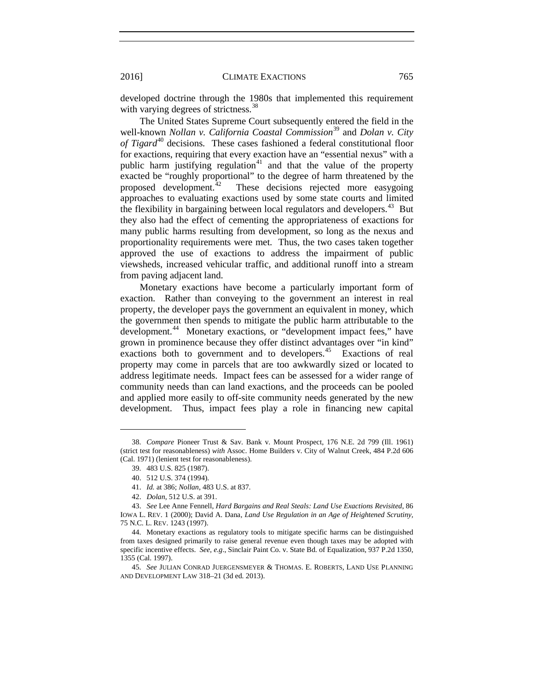developed doctrine through the 1980s that implemented this requirement with varying degrees of strictness.<sup>[38](#page-8-0)</sup>

The United States Supreme Court subsequently entered the field in the well-known *Nollan v. California Coastal Commission*<sup>[39](#page-8-1)</sup> and *Dolan v. City of Tigard*<sup>[40](#page-8-2)</sup> decisions. These cases fashioned a federal constitutional floor for exactions, requiring that every exaction have an "essential nexus" with a public harm justifying regulation<sup>[41](#page-8-3)</sup> and that the value of the property exacted be "roughly proportional" to the degree of harm threatened by the proposed development.<sup>42</sup> These decisions rejected more easygoing approaches to evaluating exactions used by some state courts and limited the flexibility in bargaining between local regulators and developers.<sup>43</sup> But they also had the effect of cementing the appropriateness of exactions for many public harms resulting from development, so long as the nexus and proportionality requirements were met. Thus, the two cases taken together approved the use of exactions to address the impairment of public viewsheds, increased vehicular traffic, and additional runoff into a stream from paving adjacent land.

Monetary exactions have become a particularly important form of exaction. Rather than conveying to the government an interest in real property, the developer pays the government an equivalent in money, which the government then spends to mitigate the public harm attributable to the development.<sup>[44](#page-8-6)</sup> Monetary exactions, or "development impact fees," have grown in prominence because they offer distinct advantages over "in kind" exactions both to government and to developers.<sup>45</sup> Exactions of real property may come in parcels that are too awkwardly sized or located to address legitimate needs. Impact fees can be assessed for a wider range of community needs than can land exactions, and the proceeds can be pooled and applied more easily to off-site community needs generated by the new development. Thus, impact fees play a role in financing new capital

<span id="page-8-1"></span><span id="page-8-0"></span><sup>38.</sup> *Compare* Pioneer Trust & Sav. Bank v. Mount Prospect, 176 N.E. 2d 799 (Ill. 1961) (strict test for reasonableness) *with* Assoc. Home Builders v. City of Walnut Creek, 484 P.2d 606 (Cal. 1971) (lenient test for reasonableness).

<sup>39.</sup> 483 U.S. 825 (1987).

<sup>40.</sup> 512 U.S. 374 (1994).

<sup>41.</sup> *Id.* at 386; *Nollan*, 483 U.S. at 837.

<sup>42.</sup> *Dolan*, 512 U.S. at 391.

<span id="page-8-5"></span><span id="page-8-4"></span><span id="page-8-3"></span><span id="page-8-2"></span><sup>43.</sup> *See* Lee Anne Fennell, *Hard Bargains and Real Steals: Land Use Exactions Revisited*, 86 IOWA L. REV. 1 (2000); David A. Dana, *Land Use Regulation in an Age of Heightened Scrutiny,* 75 N.C. L. REV. 1243 (1997).

<span id="page-8-6"></span><sup>44.</sup> Monetary exactions as regulatory tools to mitigate specific harms can be distinguished from taxes designed primarily to raise general revenue even though taxes may be adopted with specific incentive effects. *See, e.g*., Sinclair Paint Co. v. State Bd. of Equalization, 937 P.2d 1350, 1355 (Cal. 1997).

<span id="page-8-7"></span><sup>45.</sup> *See* JULIAN CONRAD JUERGENSMEYER & THOMAS. E. ROBERTS, LAND USE PLANNING AND DEVELOPMENT LAW 318–21 (3d ed. 2013).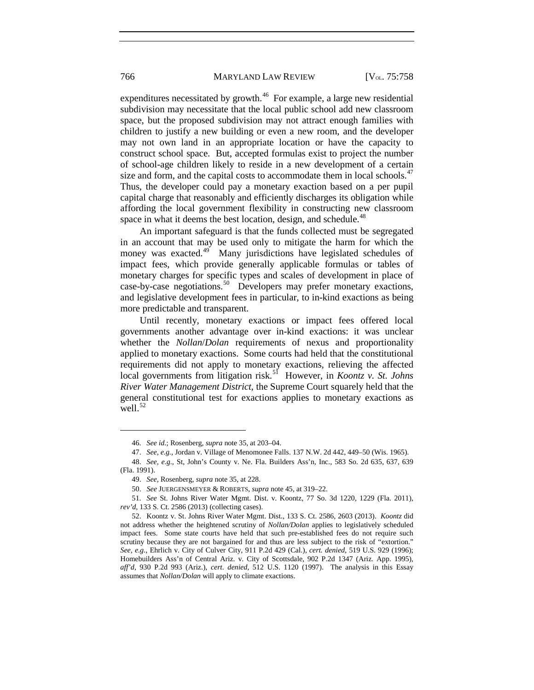expenditures necessitated by growth.<sup>[46](#page-9-0)</sup> For example, a large new residential subdivision may necessitate that the local public school add new classroom space, but the proposed subdivision may not attract enough families with children to justify a new building or even a new room, and the developer may not own land in an appropriate location or have the capacity to construct school space. But, accepted formulas exist to project the number of school-age children likely to reside in a new development of a certain size and form, and the capital costs to accommodate them in local schools. $47$ Thus, the developer could pay a monetary exaction based on a per pupil capital charge that reasonably and efficiently discharges its obligation while affording the local government flexibility in constructing new classroom space in what it deems the best location, design, and schedule.<sup>[48](#page-9-2)</sup>

An important safeguard is that the funds collected must be segregated in an account that may be used only to mitigate the harm for which the money was exacted.<sup>[49](#page-9-3)</sup> Many jurisdictions have legislated schedules of impact fees, which provide generally applicable formulas or tables of monetary charges for specific types and scales of development in place of case-by-case negotiations.<sup>[50](#page-9-4)</sup> Developers may prefer monetary exactions, and legislative development fees in particular, to in-kind exactions as being more predictable and transparent.

Until recently, monetary exactions or impact fees offered local governments another advantage over in-kind exactions: it was unclear whether the *Nollan*/*Dolan* requirements of nexus and proportionality applied to monetary exactions. Some courts had held that the constitutional requirements did not apply to monetary exactions, relieving the affected local governments from litigation risk.<sup>51</sup> However, in *Koontz v. St. Johns River Water Management District*, the Supreme Court squarely held that the general constitutional test for exactions applies to monetary exactions as  $well.<sup>52</sup>$  $well.<sup>52</sup>$  $well.<sup>52</sup>$ 

<sup>46.</sup> *See id.*; Rosenberg, *supra* not[e 35,](#page-7-5) at 203–04.

<sup>47.</sup> *See, e.g.,* Jordan v. Village of Menomonee Falls. 137 N.W. 2d 442, 449–50 (Wis. 1965).

<span id="page-9-2"></span><span id="page-9-1"></span><span id="page-9-0"></span><sup>48.</sup> *See, e.g.*, St, John's County v. Ne. Fla. Builders Ass'n, Inc., 583 So. 2d 635, 637, 639 (Fla. 1991).

<sup>49.</sup> *See,* Rosenberg, *supra* note [35,](#page-7-5) at 228.

<sup>50.</sup> *See* JUERGENSMEYER & ROBERTS, *supra* note 45*,* at 319–22.

<span id="page-9-5"></span><span id="page-9-4"></span><span id="page-9-3"></span><sup>51.</sup> *See* St. Johns River Water Mgmt. Dist. v. Koontz, 77 So. 3d 1220, 1229 (Fla. 2011), *rev'd,* 133 S. Ct. 2586 (2013) (collecting cases).

<span id="page-9-6"></span><sup>52.</sup> Koontz v. St. Johns River Water Mgmt. Dist., 133 S. Ct. 2586, 2603 (2013). *Koontz* did not address whether the heightened scrutiny of *Nollan/Dolan* applies to legislatively scheduled impact fees. Some state courts have held that such pre-established fees do not require such scrutiny because they are not bargained for and thus are less subject to the risk of "extortion." *See, e.g.*, Ehrlich v. City of Culver City, 911 P.2d 429 (Cal.), *cert. denied*, 519 U.S. 929 (1996); Homebuilders Ass'n of Central Ariz. v. City of Scottsdale, 902 P.2d 1347 (Ariz. App. 1995), *aff'd,* 930 P.2d 993 (Ariz.), *cert. denied,* 512 U.S. 1120 (1997). The analysis in this Essay assumes that *Nollan/Dolan* will apply to climate exactions.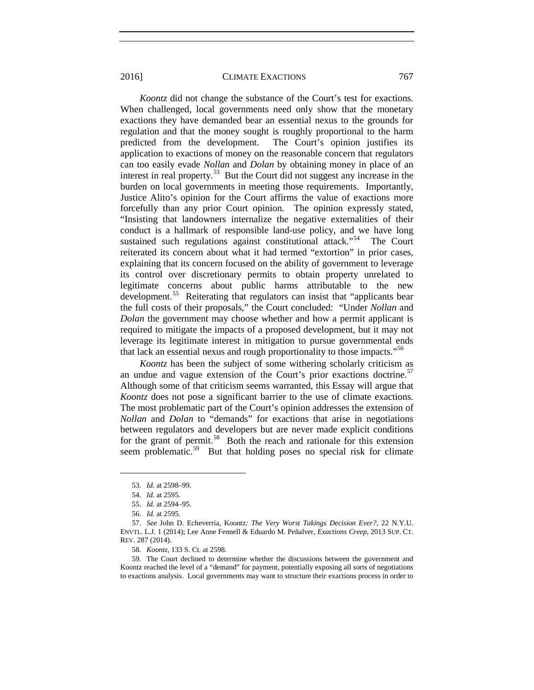*Koontz* did not change the substance of the Court's test for exactions. When challenged, local governments need only show that the monetary exactions they have demanded bear an essential nexus to the grounds for regulation and that the money sought is roughly proportional to the harm predicted from the development. The Court's opinion justifies its application to exactions of money on the reasonable concern that regulators can too easily evade *Nollan* and *Dolan* by obtaining money in place of an interest in real property.[53](#page-10-0) But the Court did not suggest any increase in the burden on local governments in meeting those requirements. Importantly, Justice Alito's opinion for the Court affirms the value of exactions more forcefully than any prior Court opinion. The opinion expressly stated, "Insisting that landowners internalize the negative externalities of their conduct is a hallmark of responsible land-use policy, and we have long sustained such regulations against constitutional attack."<sup>54</sup> The Court reiterated its concern about what it had termed "extortion" in prior cases, explaining that its concern focused on the ability of government to leverage its control over discretionary permits to obtain property unrelated to legitimate concerns about public harms attributable to the new development.<sup>[55](#page-10-2)</sup> Reiterating that regulators can insist that "applicants bear the full costs of their proposals," the Court concluded: "Under *Nollan* and *Dolan* the government may choose whether and how a permit applicant is required to mitigate the impacts of a proposed development, but it may not leverage its legitimate interest in mitigation to pursue governmental ends that lack an essential nexus and rough proportionality to those impacts."[56](#page-10-3)

*Koontz* has been the subject of some withering scholarly criticism as an undue and vague extension of the Court's prior exactions doctrine.<sup>[57](#page-10-4)</sup> Although some of that criticism seems warranted, this Essay will argue that *Koontz* does not pose a significant barrier to the use of climate exactions. The most problematic part of the Court's opinion addresses the extension of *Nollan* and *Dolan* to "demands" for exactions that arise in negotiations between regulators and developers but are never made explicit conditions for the grant of permit.<sup>58</sup> Both the reach and rationale for this extension seem problematic.<sup>[59](#page-10-6)</sup> But that holding poses no special risk for climate

<sup>53.</sup> *Id.* at 2598–99.

<sup>54.</sup> *Id.* at 2595.

<sup>55.</sup> *Id.* at 2594–95.

<sup>56.</sup> *Id.* at 2595.

<span id="page-10-4"></span><span id="page-10-3"></span><span id="page-10-2"></span><span id="page-10-1"></span><span id="page-10-0"></span><sup>57.</sup> *See* John D. Echeverria, Koontz*: The Very Worst Takings Decision Ever?*, 22 N.Y.U. ENVTL. L.J. 1 (2014); Lee Anne Fennell & Eduardo M. Peñalver, *Exactions Creep*, 2013 SUP. CT. REV. 287 (2014).

<sup>58.</sup> *Koontz*, 133 S. Ct. at 2598.

<span id="page-10-6"></span><span id="page-10-5"></span><sup>59.</sup> The Court declined to determine whether the discussions between the government and Koontz reached the level of a "demand" for payment, potentially exposing all sorts of negotiations to exactions analysis. Local governments may want to structure their exactions process in order to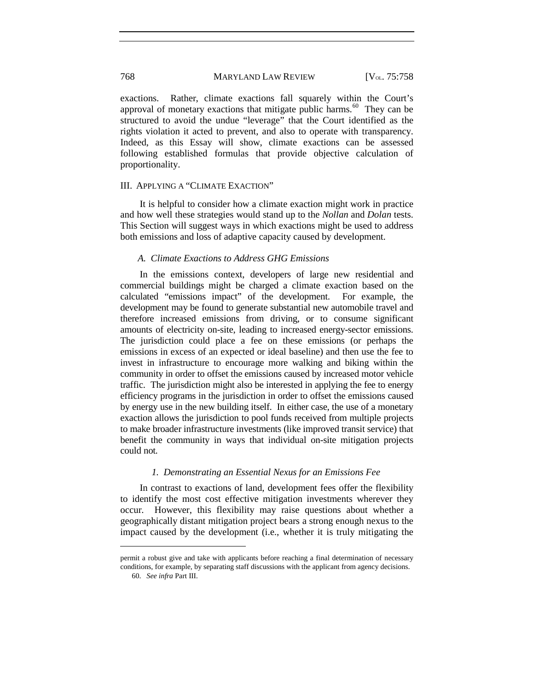exactions. Rather, climate exactions fall squarely within the Court's approval of monetary exactions that mitigate public harms.<sup>[60](#page-11-0)</sup> They can be structured to avoid the undue "leverage" that the Court identified as the rights violation it acted to prevent, and also to operate with transparency. Indeed, as this Essay will show, climate exactions can be assessed following established formulas that provide objective calculation of proportionality.

#### III. APPLYING A "CLIMATE EXACTION"

It is helpful to consider how a climate exaction might work in practice and how well these strategies would stand up to the *Nollan* and *Dolan* tests. This Section will suggest ways in which exactions might be used to address both emissions and loss of adaptive capacity caused by development.

# *A. Climate Exactions to Address GHG Emissions*

In the emissions context, developers of large new residential and commercial buildings might be charged a climate exaction based on the calculated "emissions impact" of the development. For example, the development may be found to generate substantial new automobile travel and therefore increased emissions from driving, or to consume significant amounts of electricity on-site, leading to increased energy-sector emissions. The jurisdiction could place a fee on these emissions (or perhaps the emissions in excess of an expected or ideal baseline) and then use the fee to invest in infrastructure to encourage more walking and biking within the community in order to offset the emissions caused by increased motor vehicle traffic. The jurisdiction might also be interested in applying the fee to energy efficiency programs in the jurisdiction in order to offset the emissions caused by energy use in the new building itself. In either case, the use of a monetary exaction allows the jurisdiction to pool funds received from multiple projects to make broader infrastructure investments (like improved transit service) that benefit the community in ways that individual on-site mitigation projects could not.

#### *1. Demonstrating an Essential Nexus for an Emissions Fee*

In contrast to exactions of land, development fees offer the flexibility to identify the most cost effective mitigation investments wherever they occur. However, this flexibility may raise questions about whether a geographically distant mitigation project bears a strong enough nexus to the impact caused by the development (i.e., whether it is truly mitigating the

<span id="page-11-0"></span>permit a robust give and take with applicants before reaching a final determination of necessary conditions, for example, by separating staff discussions with the applicant from agency decisions. 60. *See infra* Part III.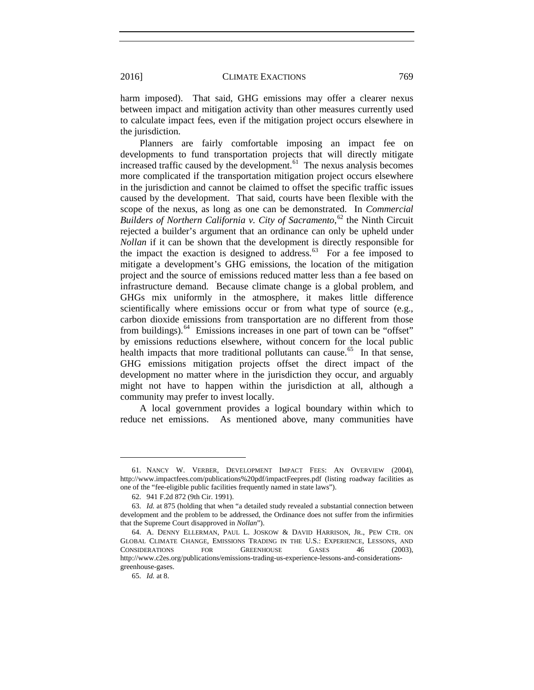harm imposed). That said, GHG emissions may offer a clearer nexus between impact and mitigation activity than other measures currently used to calculate impact fees, even if the mitigation project occurs elsewhere in the jurisdiction.

<span id="page-12-6"></span>Planners are fairly comfortable imposing an impact fee on developments to fund transportation projects that will directly mitigate increased traffic caused by the development.<sup>[61](#page-12-0)</sup> The nexus analysis becomes more complicated if the transportation mitigation project occurs elsewhere in the jurisdiction and cannot be claimed to offset the specific traffic issues caused by the development. That said, courts have been flexible with the scope of the nexus, as long as one can be demonstrated. In *Commercial*  Builders of Northern California v. City of Sacramento,<sup>[62](#page-12-1)</sup> the Ninth Circuit rejected a builder's argument that an ordinance can only be upheld under *Nollan* if it can be shown that the development is directly responsible for the impact the exaction is designed to address. $63$  For a fee imposed to mitigate a development's GHG emissions, the location of the mitigation project and the source of emissions reduced matter less than a fee based on infrastructure demand. Because climate change is a global problem, and GHGs mix uniformly in the atmosphere, it makes little difference scientifically where emissions occur or from what type of source (e.g., carbon dioxide emissions from transportation are no different from those from buildings).<sup>64</sup> Emissions increases in one part of town can be "offset" by emissions reductions elsewhere, without concern for the local public health impacts that more traditional pollutants can cause.<sup>[65](#page-12-4)</sup> In that sense, GHG emissions mitigation projects offset the direct impact of the development no matter where in the jurisdiction they occur, and arguably might not have to happen within the jurisdiction at all, although a community may prefer to invest locally.

<span id="page-12-5"></span>A local government provides a logical boundary within which to reduce net emissions. As mentioned above, many communities have

<span id="page-12-0"></span><sup>61.</sup> NANCY W. VERBER, DEVELOPMENT IMPACT FEES: AN OVERVIEW (2004), http://www.impactfees.com/publications%20pdf/impactFeepres.pdf (listing roadway facilities as one of the "fee-eligible public facilities frequently named in state laws").

<sup>62.</sup> 941 F.2d 872 (9th Cir. 1991).

<span id="page-12-2"></span><span id="page-12-1"></span><sup>63.</sup> *Id.* at 875 (holding that when "a detailed study revealed a substantial connection between development and the problem to be addressed, the Ordinance does not suffer from the infirmities that the Supreme Court disapproved in *Nollan*").

<span id="page-12-4"></span><span id="page-12-3"></span><sup>64.</sup> A. DENNY ELLERMAN, PAUL L. JOSKOW & DAVID HARRISON, JR., PEW CTR. ON GLOBAL CLIMATE CHANGE, EMISSIONS TRADING IN THE U.S.: EXPERIENCE, LESSONS, AND CONSIDERATIONS FOR GREENHOUSE GASES 46 (2003), http://www.c2es.org/publications/emissions-trading-us-experience-lessons-and-considerationsgreenhouse-gases.

<sup>65.</sup> *Id.* at 8.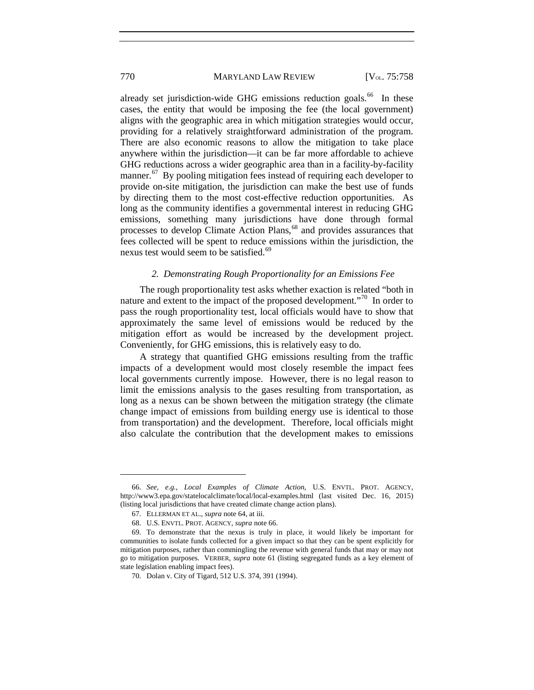already set jurisdiction-wide GHG emissions reduction goals.<sup>[66](#page-13-1)</sup> In these cases, the entity that would be imposing the fee (the local government) aligns with the geographic area in which mitigation strategies would occur, providing for a relatively straightforward administration of the program. There are also economic reasons to allow the mitigation to take place anywhere within the jurisdiction—it can be far more affordable to achieve GHG reductions across a wider geographic area than in a facility-by-facility manner.<sup>[67](#page-13-2)</sup> By pooling mitigation fees instead of requiring each developer to provide on-site mitigation, the jurisdiction can make the best use of funds by directing them to the most cost-effective reduction opportunities. As long as the community identifies a governmental interest in reducing GHG emissions, something many jurisdictions have done through formal processes to develop Climate Action Plans,<sup>[68](#page-13-3)</sup> and provides assurances that fees collected will be spent to reduce emissions within the jurisdiction, the nexus test would seem to be satisfied.<sup>[69](#page-13-4)</sup>

# *2. Demonstrating Rough Proportionality for an Emissions Fee*

The rough proportionality test asks whether exaction is related "both in nature and extent to the impact of the proposed development."<sup>[70](#page-13-5)</sup> In order to pass the rough proportionality test, local officials would have to show that approximately the same level of emissions would be reduced by the mitigation effort as would be increased by the development project. Conveniently, for GHG emissions, this is relatively easy to do.

A strategy that quantified GHG emissions resulting from the traffic impacts of a development would most closely resemble the impact fees local governments currently impose. However, there is no legal reason to limit the emissions analysis to the gases resulting from transportation, as long as a nexus can be shown between the mitigation strategy (the climate change impact of emissions from building energy use is identical to those from transportation) and the development. Therefore, local officials might also calculate the contribution that the development makes to emissions

<span id="page-13-0"></span>

<span id="page-13-1"></span><sup>66.</sup> *See, e.g.*, *Local Examples of Climate Action*, U.S. ENVTL. PROT. AGENCY, http://www3.epa.gov/statelocalclimate/local/local-examples.html (last visited Dec. 16, 2015) (listing local jurisdictions that have created climate change action plans).

<sup>67.</sup> ELLERMAN ET AL., *supra* not[e 64,](#page-12-5) at iii.

<sup>68.</sup> U.S. ENVTL. PROT. AGENCY, *supra* note [66.](#page-13-0) 

<span id="page-13-5"></span><span id="page-13-4"></span><span id="page-13-3"></span><span id="page-13-2"></span><sup>69.</sup> To demonstrate that the nexus is truly in place, it would likely be important for communities to isolate funds collected for a given impact so that they can be spent explicitly for mitigation purposes, rather than commingling the revenue with general funds that may or may not go to mitigation purposes. VERBER, *supra* note [61](#page-12-6) (listing segregated funds as a key element of state legislation enabling impact fees).

<sup>70.</sup> Dolan v. City of Tigard, 512 U.S. 374, 391 (1994).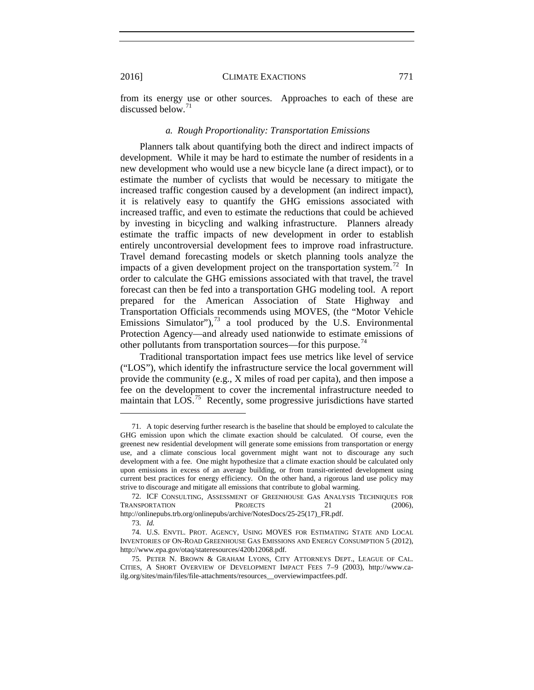from its energy use or other sources. Approaches to each of these are discussed below. $71$ 

#### *a. Rough Proportionality: Transportation Emissions*

Planners talk about quantifying both the direct and indirect impacts of development. While it may be hard to estimate the number of residents in a new development who would use a new bicycle lane (a direct impact), or to estimate the number of cyclists that would be necessary to mitigate the increased traffic congestion caused by a development (an indirect impact), it is relatively easy to quantify the GHG emissions associated with increased traffic, and even to estimate the reductions that could be achieved by investing in bicycling and walking infrastructure. Planners already estimate the traffic impacts of new development in order to establish entirely uncontroversial development fees to improve road infrastructure. Travel demand forecasting models or sketch planning tools analyze the impacts of a given development project on the transportation system.<sup>72</sup> In order to calculate the GHG emissions associated with that travel, the travel forecast can then be fed into a transportation GHG modeling tool. A report prepared for the American Association of State Highway and Transportation Officials recommends using MOVES, (the "Motor Vehicle Emissions Simulator"), $73$  a tool produced by the U.S. Environmental Protection Agency—and already used nationwide to estimate emissions of other pollutants from transportation sources—for this purpose.<sup>[74](#page-14-3)</sup>

Traditional transportation impact fees use metrics like level of service ("LOS"), which identify the infrastructure service the local government will provide the community (e.g., X miles of road per capita), and then impose a fee on the development to cover the incremental infrastructure needed to maintain that  $LOG<sup>75</sup>$  Recently, some progressive jurisdictions have started

<span id="page-14-0"></span><sup>71.</sup> A topic deserving further research is the baseline that should be employed to calculate the GHG emission upon which the climate exaction should be calculated. Of course, even the greenest new residential development will generate some emissions from transportation or energy use, and a climate conscious local government might want not to discourage any such development with a fee. One might hypothesize that a climate exaction should be calculated only upon emissions in excess of an average building, or from transit-oriented development using current best practices for energy efficiency. On the other hand, a rigorous land use policy may strive to discourage and mitigate all emissions that contribute to global warming.

<span id="page-14-1"></span><sup>72.</sup> ICF CONSULTING, ASSESSMENT OF GREENHOUSE GAS ANALYSIS TECHNIQUES FOR TRANSPORTATION PROJECTS 21 (2006), http://onlinepubs.trb.org/onlinepubs/archive/NotesDocs/25-25(17)\_FR.pdf.

<sup>73.</sup> *Id.*

<span id="page-14-3"></span><span id="page-14-2"></span><sup>74.</sup> U.S. ENVTL. PROT. AGENCY, USING MOVES FOR ESTIMATING STATE AND LOCAL INVENTORIES OF ON-ROAD GREENHOUSE GAS EMISSIONS AND ENERGY CONSUMPTION 5 (2012), http://www.epa.gov/otaq/stateresources/420b12068.pdf.

<span id="page-14-4"></span><sup>75.</sup> PETER N. BROWN & GRAHAM LYONS, CITY ATTORNEYS DEPT., LEAGUE OF CAL. CITIES, A SHORT OVERVIEW OF DEVELOPMENT IMPACT FEES 7–9 (2003), http://www.cailg.org/sites/main/files/file-attachments/resources\_\_overviewimpactfees.pdf.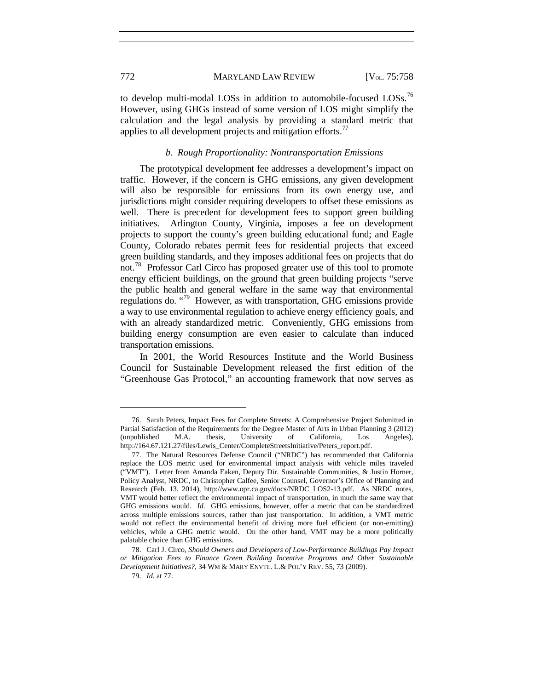to develop multi-modal LOSs in addition to automobile-focused LOSs.<sup>[76](#page-15-0)</sup> However, using GHGs instead of some version of LOS might simplify the calculation and the legal analysis by providing a standard metric that applies to all development projects and mitigation efforts.<sup>[77](#page-15-1)</sup>

# *b. Rough Proportionality: Nontransportation Emissions*

The prototypical development fee addresses a development's impact on traffic. However, if the concern is GHG emissions, any given development will also be responsible for emissions from its own energy use, and jurisdictions might consider requiring developers to offset these emissions as well. There is precedent for development fees to support green building initiatives. Arlington County, Virginia, imposes a fee on development projects to support the county's green building educational fund; and Eagle County, Colorado rebates permit fees for residential projects that exceed green building standards, and they imposes additional fees on projects that do not.<sup>78</sup> Professor Carl Circo has proposed greater use of this tool to promote energy efficient buildings, on the ground that green building projects "serve the public health and general welfare in the same way that environmental regulations do. "[79](#page-15-3) However, as with transportation, GHG emissions provide a way to use environmental regulation to achieve energy efficiency goals, and with an already standardized metric. Conveniently, GHG emissions from building energy consumption are even easier to calculate than induced transportation emissions.

In 2001, the World Resources Institute and the World Business Council for Sustainable Development released the first edition of the "Greenhouse Gas Protocol," an accounting framework that now serves as

<span id="page-15-0"></span><sup>76.</sup> Sarah Peters, Impact Fees for Complete Streets: A Comprehensive Project Submitted in Partial Satisfaction of the Requirements for the Degree Master of Arts in Urban Planning 3 (2012) (unpublished M.A. thesis, University of California, Los Angeles), http://164.67.121.27/files/Lewis\_Center/CompleteStreetsInitiative/Peters\_report.pdf.

<span id="page-15-1"></span><sup>77.</sup> The Natural Resources Defense Council ("NRDC") has recommended that California replace the LOS metric used for environmental impact analysis with vehicle miles traveled ("VMT"). Letter from Amanda Eaken, Deputy Dir. Sustainable Communities, & Justin Horner, Policy Analyst, NRDC, to Christopher Calfee, Senior Counsel, Governor's Office of Planning and Research (Feb. 13, 2014), http://www.opr.ca.gov/docs/NRDC\_LOS2-13.pdf. As NRDC notes, VMT would better reflect the environmental impact of transportation, in much the same way that GHG emissions would. *Id.* GHG emissions, however, offer a metric that can be standardized across multiple emissions sources, rather than just transportation. In addition, a VMT metric would not reflect the environmental benefit of driving more fuel efficient (or non-emitting) vehicles, while a GHG metric would. On the other hand, VMT may be a more politically palatable choice than GHG emissions.

<span id="page-15-3"></span><span id="page-15-2"></span><sup>78.</sup> Carl J. Circo, *Should Owners and Developers of Low-Performance Buildings Pay Impact or Mitigation Fees to Finance Green Building Incentive Programs and Other Sustainable Development Initiatives?*, 34 WM & MARY ENVTL. L.& POL'Y REV. 55, 73 (2009).

<sup>79.</sup> *Id.* at 77.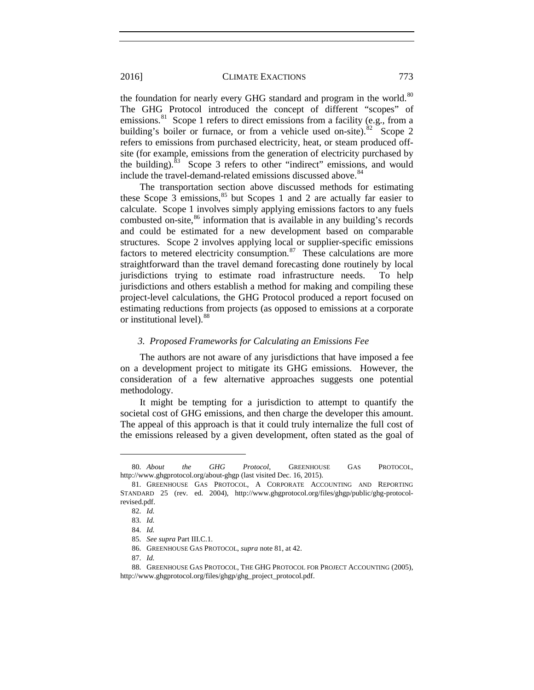<span id="page-16-0"></span>the foundation for nearly every GHG standard and program in the world.<sup>[80](#page-16-1)</sup> The GHG Protocol introduced the concept of different "scopes" of emissions.<sup>81</sup> Scope 1 refers to direct emissions from a facility (e.g., from a building's boiler or furnace, or from a vehicle used on-site). $82 \text{ Score } 2$  $82 \text{ Score } 2$ refers to emissions from purchased electricity, heat, or steam produced offsite (for example, emissions from the generation of electricity purchased by the building). $83$  Scope 3 refers to other "indirect" emissions, and would include the travel-demand-related emissions discussed above.<sup>[84](#page-16-5)</sup>

The transportation section above discussed methods for estimating these Scope  $3$  emissions,  $85$  but Scopes 1 and 2 are actually far easier to calculate. Scope 1 involves simply applying emissions factors to any fuels combusted on-site, $86$  information that is available in any building's records and could be estimated for a new development based on comparable structures. Scope 2 involves applying local or supplier-specific emissions factors to metered electricity consumption. $87$  These calculations are more straightforward than the travel demand forecasting done routinely by local jurisdictions trying to estimate road infrastructure needs. To help jurisdictions and others establish a method for making and compiling these project-level calculations, the GHG Protocol produced a report focused on estimating reductions from projects (as opposed to emissions at a corporate or institutional level).<sup>[88](#page-16-9)</sup>

#### *3. Proposed Frameworks for Calculating an Emissions Fee*

The authors are not aware of any jurisdictions that have imposed a fee on a development project to mitigate its GHG emissions. However, the consideration of a few alternative approaches suggests one potential methodology.

It might be tempting for a jurisdiction to attempt to quantify the societal cost of GHG emissions, and then charge the developer this amount. The appeal of this approach is that it could truly internalize the full cost of the emissions released by a given development, often stated as the goal of

<span id="page-16-1"></span><sup>80.</sup> *About the GHG Protocol*, GREENHOUSE GAS PROTOCOL, http://www.ghgprotocol.org/about-ghgp (last visited Dec. 16, 2015).

<span id="page-16-4"></span><span id="page-16-3"></span><span id="page-16-2"></span><sup>81.</sup> GREENHOUSE GAS PROTOCOL, A CORPORATE ACCOUNTING AND REPORTING STANDARD 25 (rev. ed. 2004), http://www.ghgprotocol.org/files/ghgp/public/ghg-protocolrevised.pdf.

<sup>82.</sup> *Id.*

<sup>83.</sup> *Id.*

<sup>84.</sup> *Id.*

<sup>85.</sup> *See supra* Part III.C.1.

<sup>86.</sup> GREENHOUSE GAS PROTOCOL, *supra* not[e 81,](#page-16-0) at 42.

<sup>87.</sup> *Id.*

<span id="page-16-9"></span><span id="page-16-8"></span><span id="page-16-7"></span><span id="page-16-6"></span><span id="page-16-5"></span><sup>88.</sup> GREENHOUSE GAS PROTOCOL, THE GHG PROTOCOL FOR PROJECT ACCOUNTING (2005), http://www.ghgprotocol.org/files/ghgp/ghg\_project\_protocol.pdf.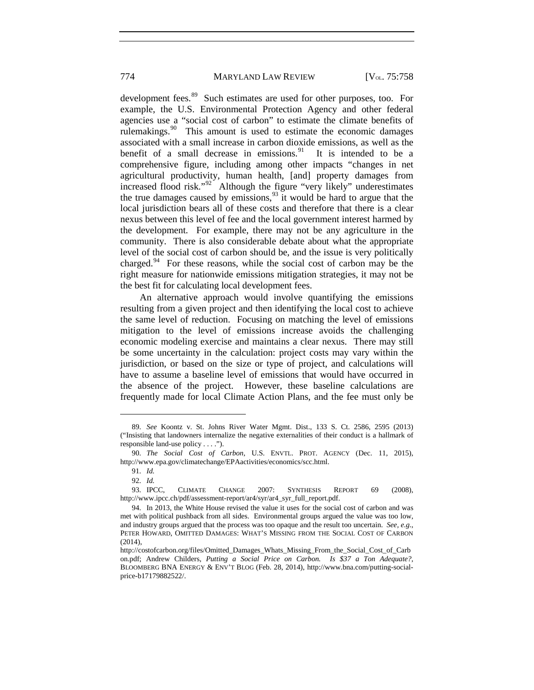development fees.<sup>89</sup> Such estimates are used for other purposes, too. For example, the U.S. Environmental Protection Agency and other federal agencies use a "social cost of carbon" to estimate the climate benefits of rulemakings.<sup>90</sup> This amount is used to estimate the economic damages associated with a small increase in carbon dioxide emissions, as well as the benefit of a small decrease in emissions.<sup>91</sup> It is intended to be a benefit of a small decrease in emissions. $91$ comprehensive figure, including among other impacts "changes in net agricultural productivity, human health, [and] property damages from increased flood risk."[92](#page-17-3) Although the figure "very likely" underestimates the true damages caused by emissions,  $93$  it would be hard to argue that the local jurisdiction bears all of these costs and therefore that there is a clear nexus between this level of fee and the local government interest harmed by the development. For example, there may not be any agriculture in the community. There is also considerable debate about what the appropriate level of the social cost of carbon should be, and the issue is very politically charged.[94](#page-17-5) For these reasons, while the social cost of carbon may be the right measure for nationwide emissions mitigation strategies, it may not be the best fit for calculating local development fees.

An alternative approach would involve quantifying the emissions resulting from a given project and then identifying the local cost to achieve the same level of reduction. Focusing on matching the level of emissions mitigation to the level of emissions increase avoids the challenging economic modeling exercise and maintains a clear nexus. There may still be some uncertainty in the calculation: project costs may vary within the jurisdiction, or based on the size or type of project, and calculations will have to assume a baseline level of emissions that would have occurred in the absence of the project. However, these baseline calculations are frequently made for local Climate Action Plans, and the fee must only be

<span id="page-17-0"></span><sup>89.</sup> *See* Koontz v. St. Johns River Water Mgmt. Dist., 133 S. Ct. 2586, 2595 (2013) ("Insisting that landowners internalize the negative externalities of their conduct is a hallmark of responsible land-use policy . . . .").

<span id="page-17-2"></span><span id="page-17-1"></span><sup>90.</sup> *The Social Cost of Carbon*, U.S. ENVTL. PROT. AGENCY (Dec. 11, 2015), http://www.epa.gov/climatechange/EPAactivities/economics/scc.html.

<sup>91.</sup> *Id.*

<sup>92.</sup> *Id.*

<span id="page-17-4"></span><span id="page-17-3"></span><sup>93.</sup> IPCC, CLIMATE CHANGE 2007: SYNTHESIS REPORT 69 (2008), http://www.ipcc.ch/pdf/assessment-report/ar4/syr/ar4\_syr\_full\_report.pdf.

<span id="page-17-5"></span><sup>94.</sup> In 2013, the White House revised the value it uses for the social cost of carbon and was met with political pushback from all sides. Environmental groups argued the value was too low, and industry groups argued that the process was too opaque and the result too uncertain. *See, e.g.*, PETER HOWARD, OMITTED DAMAGES: WHAT'S MISSING FROM THE SOCIAL COST OF CARBON (2014),

http://costofcarbon.org/files/Omitted\_Damages\_Whats\_Missing\_From\_the\_Social\_Cost\_of\_Carb on.pdf; Andrew Childers, *Putting a Social Price on Carbon. Is \$37 a Ton Adequate?*, BLOOMBERG BNA ENERGY & ENV'T BLOG (Feb. 28, 2014), http://www.bna.com/putting-socialprice-b17179882522/.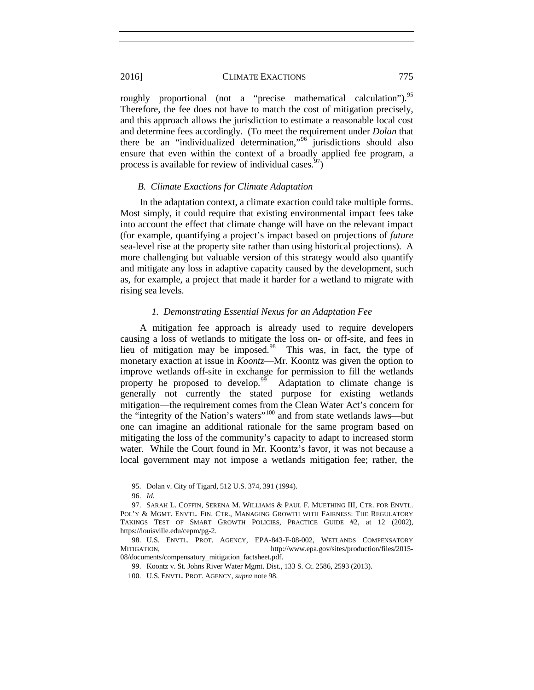roughly proportional (not a "precise mathematical calculation").<sup>[95](#page-18-1)</sup> Therefore, the fee does not have to match the cost of mitigation precisely, and this approach allows the jurisdiction to estimate a reasonable local cost and determine fees accordingly. (To meet the requirement under *Dolan* that there be an "individualized determination,"[96](#page-18-2) jurisdictions should also ensure that even within the context of a broadly applied fee program, a process is available for review of individual cases.  $\frac{97}{2}$  $\frac{97}{2}$  $\frac{97}{2}$ 

#### *B. Climate Exactions for Climate Adaptation*

In the adaptation context, a climate exaction could take multiple forms. Most simply, it could require that existing environmental impact fees take into account the effect that climate change will have on the relevant impact (for example, quantifying a project's impact based on projections of *future* sea-level rise at the property site rather than using historical projections). A more challenging but valuable version of this strategy would also quantify and mitigate any loss in adaptive capacity caused by the development, such as, for example, a project that made it harder for a wetland to migrate with rising sea levels.

#### <span id="page-18-0"></span>*1. Demonstrating Essential Nexus for an Adaptation Fee*

A mitigation fee approach is already used to require developers causing a loss of wetlands to mitigate the loss on- or off-site, and fees in lieu of mitigation may be imposed.[98](#page-18-4) This was, in fact, the type of monetary exaction at issue in *Koontz*—Mr. Koontz was given the option to improve wetlands off-site in exchange for permission to fill the wetlands property he proposed to develop.<sup>[99](#page-18-5)</sup> Adaptation to climate change is generally not currently the stated purpose for existing wetlands mitigation—the requirement comes from the Clean Water Act's concern for the "integrity of the Nation's waters"[100](#page-18-6) and from state wetlands laws—but one can imagine an additional rationale for the same program based on mitigating the loss of the community's capacity to adapt to increased storm water. While the Court found in Mr. Koontz's favor, it was not because a local government may not impose a wetlands mitigation fee; rather, the

<sup>95.</sup> Dolan v. City of Tigard, 512 U.S. 374, 391 (1994).

<sup>96.</sup> *Id.*

<span id="page-18-3"></span><span id="page-18-2"></span><span id="page-18-1"></span><sup>97.</sup> SARAH L. COFFIN, SERENA M. WILLIAMS & PAUL F. MUETHING III, CTR. FOR ENVTL. POL'Y & MGMT. ENVTL. FIN. CTR., MANAGING GROWTH WITH FAIRNESS: THE REGULATORY TAKINGS TEST OF SMART GROWTH POLICIES, PRACTICE GUIDE #2, at 12 (2002), https://louisville.edu/cepm/pg-2.

<span id="page-18-6"></span><span id="page-18-5"></span><span id="page-18-4"></span><sup>98.</sup> U.S. ENVTL. PROT. AGENCY, EPA-843-F-08-002, WETLANDS COMPENSATORY MITIGATION, http://www.epa.gov/sites/production/files/2015-08/documents/compensatory\_mitigation\_factsheet.pdf.

<sup>99.</sup> Koontz v. St. Johns River Water Mgmt. Dist., 133 S. Ct. 2586, 2593 (2013).

<sup>100.</sup> U.S. ENVTL. PROT. AGENCY, *supra* note [98.](#page-18-0)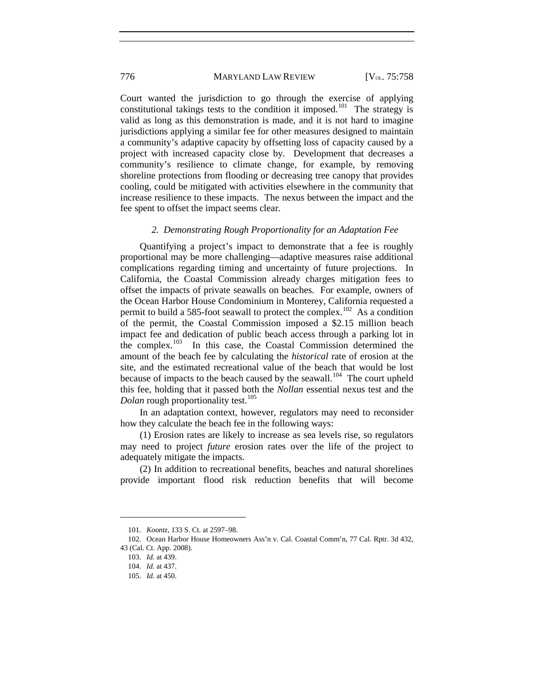Court wanted the jurisdiction to go through the exercise of applying constitutional takings tests to the condition it imposed.<sup>[101](#page-19-0)</sup> The strategy is valid as long as this demonstration is made, and it is not hard to imagine jurisdictions applying a similar fee for other measures designed to maintain a community's adaptive capacity by offsetting loss of capacity caused by a project with increased capacity close by. Development that decreases a community's resilience to climate change, for example, by removing shoreline protections from flooding or decreasing tree canopy that provides cooling, could be mitigated with activities elsewhere in the community that increase resilience to these impacts. The nexus between the impact and the fee spent to offset the impact seems clear.

#### *2. Demonstrating Rough Proportionality for an Adaptation Fee*

Quantifying a project's impact to demonstrate that a fee is roughly proportional may be more challenging—adaptive measures raise additional complications regarding timing and uncertainty of future projections. In California, the Coastal Commission already charges mitigation fees to offset the impacts of private seawalls on beaches. For example, owners of the Ocean Harbor House Condominium in Monterey, California requested a permit to build a 585-foot seawall to protect the complex.<sup>102</sup> As a condition of the permit, the Coastal Commission imposed a \$2.15 million beach impact fee and dedication of public beach access through a parking lot in the complex.<sup>103</sup> In this case, the Coastal Commission determined the In this case, the Coastal Commission determined the amount of the beach fee by calculating the *historical* rate of erosion at the site, and the estimated recreational value of the beach that would be lost because of impacts to the beach caused by the seawall.<sup>[104](#page-19-3)</sup> The court upheld this fee, holding that it passed both the *Nollan* essential nexus test and the *Dolan* rough proportionality test.<sup>[105](#page-19-4)</sup>

In an adaptation context, however, regulators may need to reconsider how they calculate the beach fee in the following ways:

(1) Erosion rates are likely to increase as sea levels rise, so regulators may need to project *future* erosion rates over the life of the project to adequately mitigate the impacts.

(2) In addition to recreational benefits, beaches and natural shorelines provide important flood risk reduction benefits that will become

<sup>101.</sup> *Koontz*, 133 S. Ct. at 2597–98.

<span id="page-19-4"></span><span id="page-19-3"></span><span id="page-19-2"></span><span id="page-19-1"></span><span id="page-19-0"></span><sup>102.</sup> Ocean Harbor House Homeowners Ass'n v. Cal. Coastal Comm'n, 77 Cal. Rptr. 3d 432, 43 (Cal. Ct. App. 2008).

<sup>103.</sup> *Id.* at 439.

<sup>104.</sup> *Id.* at 437.

<sup>105.</sup> *Id.* at 450.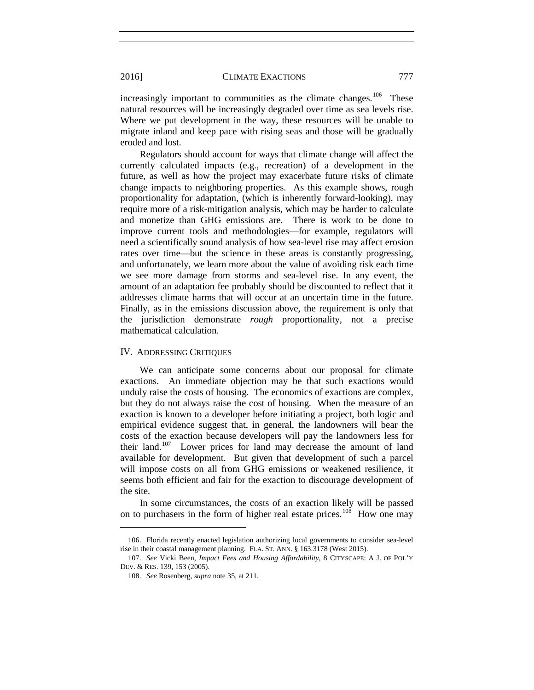increasingly important to communities as the climate changes.<sup>[106](#page-20-0)</sup> These natural resources will be increasingly degraded over time as sea levels rise. Where we put development in the way, these resources will be unable to migrate inland and keep pace with rising seas and those will be gradually eroded and lost.

Regulators should account for ways that climate change will affect the currently calculated impacts (e.g., recreation) of a development in the future, as well as how the project may exacerbate future risks of climate change impacts to neighboring properties. As this example shows, rough proportionality for adaptation, (which is inherently forward-looking), may require more of a risk-mitigation analysis, which may be harder to calculate and monetize than GHG emissions are. There is work to be done to improve current tools and methodologies—for example, regulators will need a scientifically sound analysis of how sea-level rise may affect erosion rates over time—but the science in these areas is constantly progressing, and unfortunately, we learn more about the value of avoiding risk each time we see more damage from storms and sea-level rise. In any event, the amount of an adaptation fee probably should be discounted to reflect that it addresses climate harms that will occur at an uncertain time in the future. Finally, as in the emissions discussion above, the requirement is only that the jurisdiction demonstrate *rough* proportionality, not a precise mathematical calculation.

# IV. ADDRESSING CRITIQUES

We can anticipate some concerns about our proposal for climate exactions. An immediate objection may be that such exactions would unduly raise the costs of housing. The economics of exactions are complex, but they do not always raise the cost of housing. When the measure of an exaction is known to a developer before initiating a project, both logic and empirical evidence suggest that, in general, the landowners will bear the costs of the exaction because developers will pay the landowners less for their land.[107](#page-20-1) Lower prices for land may decrease the amount of land available for development. But given that development of such a parcel will impose costs on all from GHG emissions or weakened resilience, it seems both efficient and fair for the exaction to discourage development of the site.

In some circumstances, the costs of an exaction likely will be passed on to purchasers in the form of higher real estate prices.<sup>[108](#page-20-2)</sup> How one may

<span id="page-20-0"></span><sup>106.</sup> Florida recently enacted legislation authorizing local governments to consider sea-level rise in their coastal management planning. FLA. ST. ANN. § 163.3178 (West 2015).

<span id="page-20-2"></span><span id="page-20-1"></span><sup>107.</sup> *See* Vicki Been, *Impact Fees and Housing Affordability*, 8 CITYSCAPE: A J. OF POL'Y DEV. & RES. 139, 153 (2005).

<sup>108.</sup> *See* Rosenberg, *supra* note [35,](#page-7-5) at 211.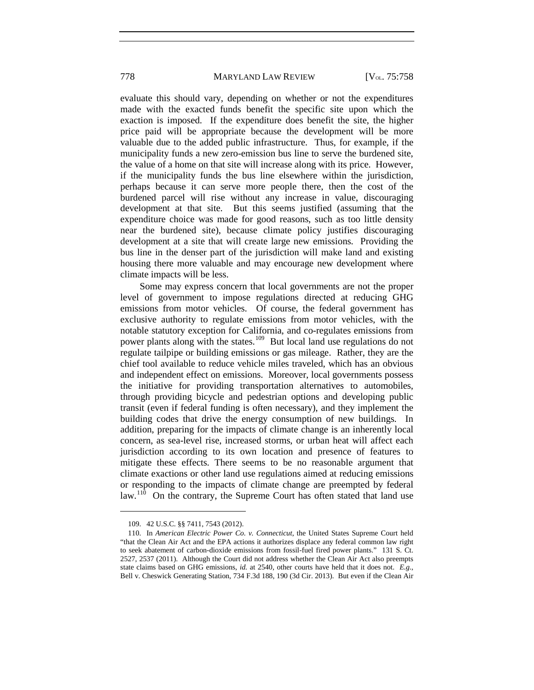evaluate this should vary, depending on whether or not the expenditures made with the exacted funds benefit the specific site upon which the exaction is imposed. If the expenditure does benefit the site, the higher price paid will be appropriate because the development will be more valuable due to the added public infrastructure. Thus, for example, if the municipality funds a new zero-emission bus line to serve the burdened site, the value of a home on that site will increase along with its price. However, if the municipality funds the bus line elsewhere within the jurisdiction, perhaps because it can serve more people there, then the cost of the burdened parcel will rise without any increase in value, discouraging development at that site. But this seems justified (assuming that the expenditure choice was made for good reasons, such as too little density near the burdened site), because climate policy justifies discouraging development at a site that will create large new emissions. Providing the bus line in the denser part of the jurisdiction will make land and existing housing there more valuable and may encourage new development where climate impacts will be less.

Some may express concern that local governments are not the proper level of government to impose regulations directed at reducing GHG emissions from motor vehicles. Of course, the federal government has exclusive authority to regulate emissions from motor vehicles, with the notable statutory exception for California, and co-regulates emissions from power plants along with the states.<sup>[109](#page-21-0)</sup> But local land use regulations do not regulate tailpipe or building emissions or gas mileage. Rather, they are the chief tool available to reduce vehicle miles traveled, which has an obvious and independent effect on emissions. Moreover, local governments possess the initiative for providing transportation alternatives to automobiles, through providing bicycle and pedestrian options and developing public transit (even if federal funding is often necessary), and they implement the building codes that drive the energy consumption of new buildings. In addition, preparing for the impacts of climate change is an inherently local concern, as sea-level rise, increased storms, or urban heat will affect each jurisdiction according to its own location and presence of features to mitigate these effects. There seems to be no reasonable argument that climate exactions or other land use regulations aimed at reducing emissions or responding to the impacts of climate change are preempted by federal law.<sup>110</sup> On the contrary, the Supreme Court has often stated that land use

<sup>109.</sup> 42 U.S.C. §§ 7411, 7543 (2012).

<span id="page-21-1"></span><span id="page-21-0"></span><sup>110.</sup> In *American Electric Power Co. v. Connecticut*, the United States Supreme Court held "that the Clean Air Act and the EPA actions it authorizes displace any federal common law right to seek abatement of carbon-dioxide emissions from fossil-fuel fired power plants." 131 S. Ct. 2527, 2537 (2011). Although the Court did not address whether the Clean Air Act also preempts state claims based on GHG emissions, *id.* at 2540, other courts have held that it does not. *E.g.*, Bell v. Cheswick Generating Station, 734 F.3d 188, 190 (3d Cir. 2013). But even if the Clean Air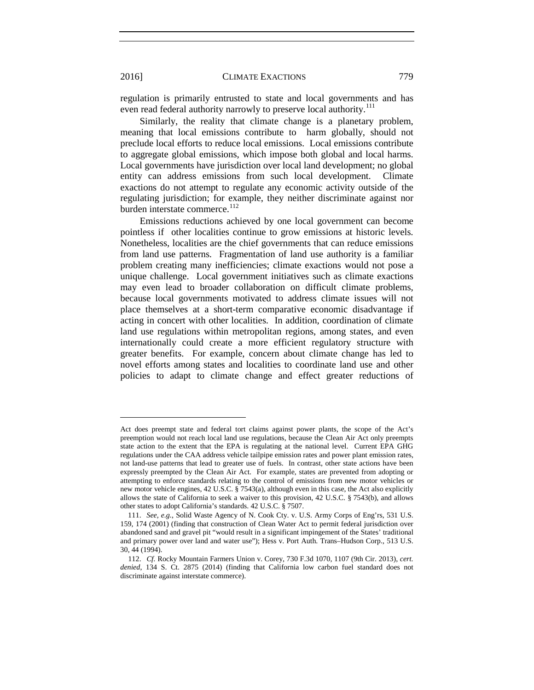regulation is primarily entrusted to state and local governments and has even read federal authority narrowly to preserve local authority.<sup>[111](#page-22-0)</sup>

Similarly, the reality that climate change is a planetary problem, meaning that local emissions contribute to harm globally, should not preclude local efforts to reduce local emissions. Local emissions contribute to aggregate global emissions, which impose both global and local harms. Local governments have jurisdiction over local land development; no global entity can address emissions from such local development. Climate exactions do not attempt to regulate any economic activity outside of the regulating jurisdiction; for example, they neither discriminate against nor burden interstate commerce.<sup>112</sup>

Emissions reductions achieved by one local government can become pointless if other localities continue to grow emissions at historic levels. Nonetheless, localities are the chief governments that can reduce emissions from land use patterns. Fragmentation of land use authority is a familiar problem creating many inefficiencies; climate exactions would not pose a unique challenge. Local government initiatives such as climate exactions may even lead to broader collaboration on difficult climate problems, because local governments motivated to address climate issues will not place themselves at a short-term comparative economic disadvantage if acting in concert with other localities. In addition, coordination of climate land use regulations within metropolitan regions, among states, and even internationally could create a more efficient regulatory structure with greater benefits. For example, concern about climate change has led to novel efforts among states and localities to coordinate land use and other policies to adapt to climate change and effect greater reductions of

Act does preempt state and federal tort claims against power plants, the scope of the Act's preemption would not reach local land use regulations, because the Clean Air Act only preempts state action to the extent that the EPA is regulating at the national level. Current EPA GHG regulations under the CAA address vehicle tailpipe emission rates and power plant emission rates, not land-use patterns that lead to greater use of fuels. In contrast, other state actions have been expressly preempted by the Clean Air Act. For example, states are prevented from adopting or attempting to enforce standards relating to the control of emissions from new motor vehicles or new motor vehicle engines, 42 U.S.C. § 7543(a), although even in this case, the Act also explicitly allows the state of California to seek a waiver to this provision, 42 U.S.C. § 7543(b), and allows other states to adopt California's standards. 42 U.S.C. § 7507.

<span id="page-22-0"></span><sup>111.</sup> *See, e.g.*, Solid Waste Agency of N. Cook Cty. v. U.S. Army Corps of Eng'rs, 531 U.S. 159, 174 (2001) (finding that construction of Clean Water Act to permit federal jurisdiction over abandoned sand and gravel pit "would result in a significant impingement of the States' traditional and primary power over land and water use"); Hess v. Port Auth. Trans–Hudson Corp., 513 U.S. 30, 44 (1994).

<span id="page-22-1"></span><sup>112.</sup> *Cf.* Rocky Mountain Farmers Union v. Corey, 730 F.3d 1070, 1107 (9th Cir. 2013), *cert. denied*, 134 S. Ct. 2875 (2014) (finding that California low carbon fuel standard does not discriminate against interstate commerce).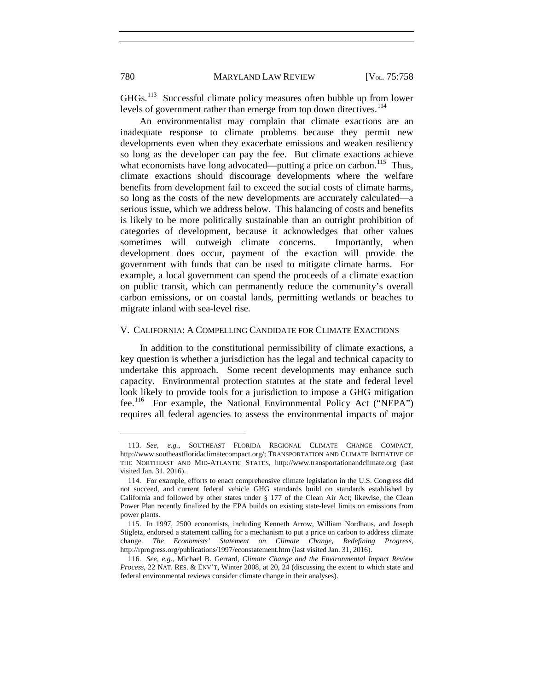GHGs.[113](#page-23-0) Successful climate policy measures often bubble up from lower levels of government rather than emerge from top down directives.<sup>[114](#page-23-1)</sup>

An environmentalist may complain that climate exactions are an inadequate response to climate problems because they permit new developments even when they exacerbate emissions and weaken resiliency so long as the developer can pay the fee. But climate exactions achieve what economists have long advocated—putting a price on carbon.<sup>[115](#page-23-2)</sup> Thus, climate exactions should discourage developments where the welfare benefits from development fail to exceed the social costs of climate harms, so long as the costs of the new developments are accurately calculated—a serious issue, which we address below. This balancing of costs and benefits is likely to be more politically sustainable than an outright prohibition of categories of development, because it acknowledges that other values sometimes will outweigh climate concerns. Importantly, when development does occur, payment of the exaction will provide the government with funds that can be used to mitigate climate harms. For example, a local government can spend the proceeds of a climate exaction on public transit, which can permanently reduce the community's overall carbon emissions, or on coastal lands, permitting wetlands or beaches to migrate inland with sea-level rise.

# V. CALIFORNIA: A COMPELLING CANDIDATE FOR CLIMATE EXACTIONS

In addition to the constitutional permissibility of climate exactions, a key question is whether a jurisdiction has the legal and technical capacity to undertake this approach. Some recent developments may enhance such capacity. Environmental protection statutes at the state and federal level look likely to provide tools for a jurisdiction to impose a GHG mitigation fee.[116](#page-23-3) For example, the National Environmental Policy Act ("NEPA") requires all federal agencies to assess the environmental impacts of major

<span id="page-23-0"></span><sup>113.</sup> *See, e.g.*, SOUTHEAST FLORIDA REGIONAL CLIMATE CHANGE COMPACT, http://www.southeastfloridaclimatecompact.org/; TRANSPORTATION AND CLIMATE INITIATIVE OF THE NORTHEAST AND MID-ATLANTIC STATES, http://www.transportationandclimate.org (last visited Jan. 31. 2016).

<span id="page-23-1"></span><sup>114.</sup> For example, efforts to enact comprehensive climate legislation in the U.S. Congress did not succeed, and current federal vehicle GHG standards build on standards established by California and followed by other states under § 177 of the Clean Air Act; likewise, the Clean Power Plan recently finalized by the EPA builds on existing state-level limits on emissions from power plants.

<span id="page-23-2"></span><sup>115.</sup> In 1997, 2500 economists, including Kenneth Arrow, William Nordhaus, and Joseph Stigletz, endorsed a statement calling for a mechanism to put a price on carbon to address climate change. *The Economists' Statement on Climate Change, Redefining Progress*, http://rprogress.org/publications/1997/econstatement.htm (last visited Jan. 31, 2016).

<span id="page-23-3"></span><sup>116.</sup> *See, e.g.*, Michael B. Gerrard, *Climate Change and the Environmental Impact Review Process*, 22 NAT. RES. & ENV'T, Winter 2008, at 20, 24 (discussing the extent to which state and federal environmental reviews consider climate change in their analyses).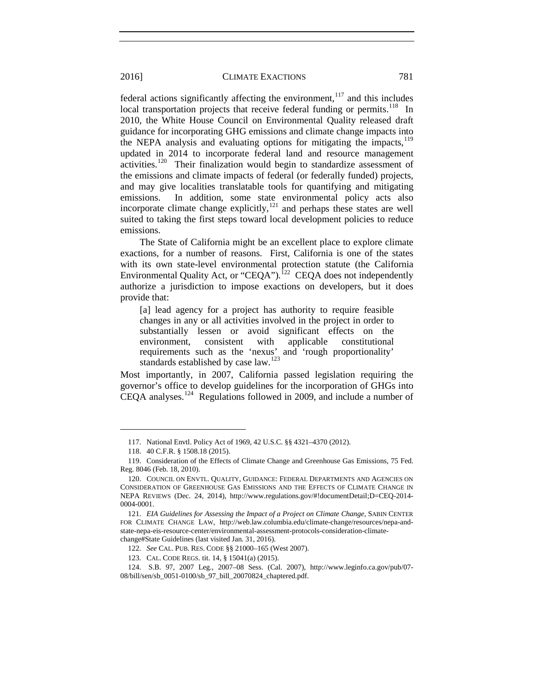federal actions significantly affecting the environment, $117$  and this includes local transportation projects that receive federal funding or permits.<sup>118</sup> In 2010, the White House Council on Environmental Quality released draft guidance for incorporating GHG emissions and climate change impacts into the NEPA analysis and evaluating options for mitigating the impacts, $119$ updated in 2014 to incorporate federal land and resource management activities.<sup>[120](#page-24-3)</sup> Their finalization would begin to standardize assessment of the emissions and climate impacts of federal (or federally funded) projects, and may give localities translatable tools for quantifying and mitigating emissions. In addition, some state environmental policy acts also incorporate climate change explicitly,  $121$  and perhaps these states are well suited to taking the first steps toward local development policies to reduce emissions.

The State of California might be an excellent place to explore climate exactions, for a number of reasons. First, California is one of the states with its own state-level environmental protection statute (the California Environmental Quality Act, or "CEQA").<sup>122</sup> CEQA does not independently authorize a jurisdiction to impose exactions on developers, but it does provide that:

[a] lead agency for a project has authority to require feasible changes in any or all activities involved in the project in order to substantially lessen or avoid significant effects on the environment, consistent with applicable constitutional requirements such as the 'nexus' and 'rough proportionality' standards established by case law.<sup>[123](#page-24-6)</sup>

Most importantly, in 2007, California passed legislation requiring the governor's office to develop guidelines for the incorporation of GHGs into CEQA analyses.<sup>[124](#page-24-7)</sup> Regulations followed in 2009, and include a number of

<sup>117.</sup> National Envtl. Policy Act of 1969, 42 U.S.C. §§ 4321–4370 (2012).

<sup>118.</sup> 40 C.F.R. § 1508.18 (2015).

<span id="page-24-2"></span><span id="page-24-1"></span><span id="page-24-0"></span><sup>119.</sup> Consideration of the Effects of Climate Change and Greenhouse Gas Emissions, 75 Fed. Reg. 8046 (Feb. 18, 2010).

<span id="page-24-3"></span><sup>120.</sup> COUNCIL ON ENVTL. QUALITY, GUIDANCE: FEDERAL DEPARTMENTS AND AGENCIES ON CONSIDERATION OF GREENHOUSE GAS EMISSIONS AND THE EFFECTS OF CLIMATE CHANGE IN NEPA REVIEWS (Dec. 24, 2014), http://www.regulations.gov/#!documentDetail;D=CEQ-2014- 0004-0001.

<span id="page-24-4"></span><sup>121.</sup> *EIA Guidelines for Assessing the Impact of a Project on Climate Change*, SABIN CENTER FOR CLIMATE CHANGE LAW, http://web.law.columbia.edu/climate-change/resources/nepa-andstate-nepa-eis-resource-center/environmental-assessment-protocols-consideration-climatechange#State Guidelines (last visited Jan. 31, 2016).

<sup>122.</sup> *See* CAL. PUB. RES. CODE §§ 21000–165 (West 2007).

<sup>123.</sup> CAL. CODE REGS. tit. 14, § 15041(a) (2015).

<span id="page-24-7"></span><span id="page-24-6"></span><span id="page-24-5"></span><sup>124.</sup> S.B. 97, 2007 Leg., 2007–08 Sess. (Cal. 2007), http://www.leginfo.ca.gov/pub/07- 08/bill/sen/sb\_0051-0100/sb\_97\_bill\_20070824\_chaptered.pdf.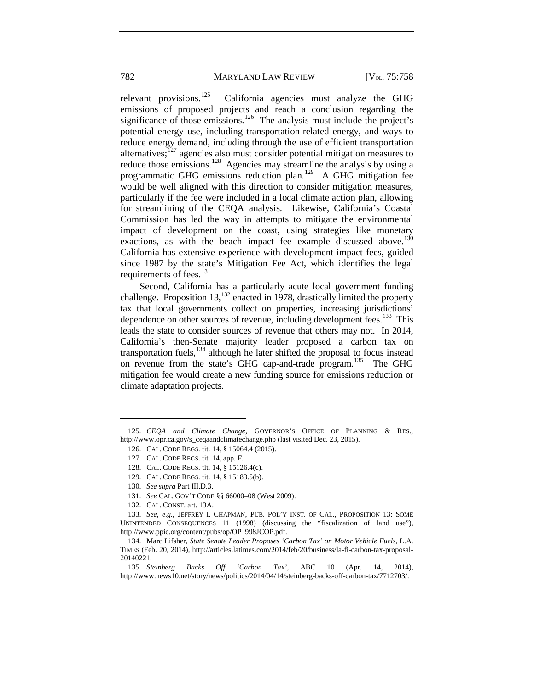relevant provisions.<sup>[125](#page-25-0)</sup> California agencies must analyze the GHG emissions of proposed projects and reach a conclusion regarding the significance of those emissions.<sup>[126](#page-25-1)</sup> The analysis must include the project's potential energy use, including transportation-related energy, and ways to reduce energy demand, including through the use of efficient transportation alternatives;<sup>[127](#page-25-2)</sup> agencies also must consider potential mitigation measures to reduce those emissions.<sup>[128](#page-25-3)</sup> Agencies may streamline the analysis by using a programmatic GHG emissions reduction plan.[129](#page-25-4) A GHG mitigation fee would be well aligned with this direction to consider mitigation measures, particularly if the fee were included in a local climate action plan, allowing for streamlining of the CEQA analysis. Likewise, California's Coastal Commission has led the way in attempts to mitigate the environmental impact of development on the coast, using strategies like monetary exactions, as with the beach impact fee example discussed above.<sup>[130](#page-25-5)</sup> California has extensive experience with development impact fees, guided since 1987 by the state's Mitigation Fee Act, which identifies the legal requirements of fees.<sup>[131](#page-25-6)</sup>

Second, California has a particularly acute local government funding challenge. Proposition  $13$ ,<sup>[132](#page-25-7)</sup> enacted in 1978, drastically limited the property tax that local governments collect on properties, increasing jurisdictions' dependence on other sources of revenue, including development fees.<sup>[133](#page-25-8)</sup> This leads the state to consider sources of revenue that others may not. In 2014, California's then-Senate majority leader proposed a carbon tax on transportation fuels, $134$  although he later shifted the proposal to focus instead on revenue from the state's GHG cap-and-trade program.<sup>135</sup> The GHG mitigation fee would create a new funding source for emissions reduction or climate adaptation projects.

 $\overline{a}$ 

132. CAL. CONST. art. 13A.

<span id="page-25-3"></span><span id="page-25-2"></span><span id="page-25-1"></span><span id="page-25-0"></span><sup>125.</sup> *CEQA and Climate Change*, GOVERNOR'S OFFICE OF PLANNING & RES., http://www.opr.ca.gov/s\_ceqaandclimatechange.php (last visited Dec. 23, 2015).

<sup>126.</sup> CAL. CODE REGS. tit. 14, § 15064.4 (2015).

<sup>127.</sup> CAL. CODE REGS. tit. 14, app. F.

<sup>128.</sup> CAL. CODE REGS. tit. 14, § 15126.4(c).

<sup>129.</sup> CAL. CODE REGS. tit. 14, § 15183.5(b).

<sup>130.</sup> *See supra* Part III.D.3.

<sup>131.</sup> *See* CAL. GOV'T CODE §§ 66000–08 (West 2009).

<span id="page-25-8"></span><span id="page-25-7"></span><span id="page-25-6"></span><span id="page-25-5"></span><span id="page-25-4"></span><sup>133.</sup> *See, e.g.*, JEFFREY I. CHAPMAN, PUB. POL'Y INST. OF CAL., PROPOSITION 13: SOME UNINTENDED CONSEQUENCES 11 (1998) (discussing the "fiscalization of land use"), http://www.ppic.org/content/pubs/op/OP\_998JCOP.pdf.

<span id="page-25-9"></span><sup>134.</sup> Marc Lifsher, *State Senate Leader Proposes 'Carbon Tax' on Motor Vehicle Fuels*, L.A. TIMES (Feb. 20, 2014), http://articles.latimes.com/2014/feb/20/business/la-fi-carbon-tax-proposal-20140221.

<span id="page-25-10"></span><sup>135.</sup> *Steinberg Backs Off 'Carbon Tax'*, ABC 10 (Apr. 14, 2014), http://www.news10.net/story/news/politics/2014/04/14/steinberg-backs-off-carbon-tax/7712703/.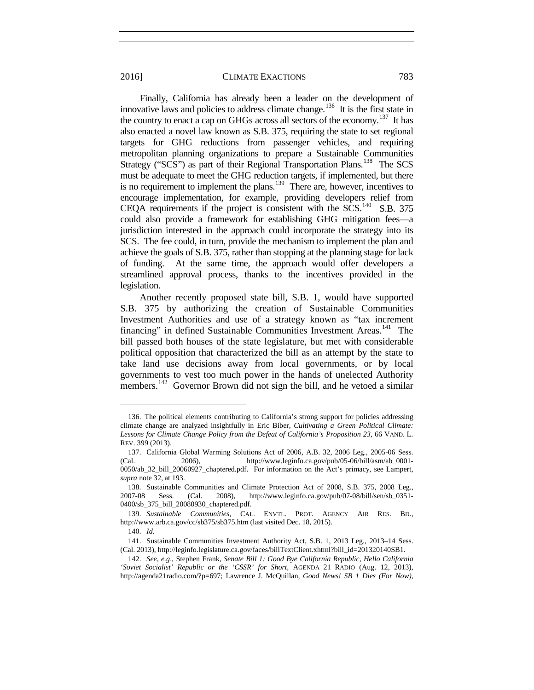Finally, California has already been a leader on the development of innovative laws and policies to address climate change.<sup>136</sup> It is the first state in the country to enact a cap on GHGs across all sectors of the economy.<sup>137</sup> It has also enacted a novel law known as S.B. 375, requiring the state to set regional targets for GHG reductions from passenger vehicles, and requiring metropolitan planning organizations to prepare a Sustainable Communities Strategy ("SCS") as part of their Regional Transportation Plans.<sup>[138](#page-26-2)</sup> The SCS must be adequate to meet the GHG reduction targets, if implemented, but there is no requirement to implement the plans.<sup>[139](#page-26-3)</sup> There are, however, incentives to encourage implementation, for example, providing developers relief from CEQA requirements if the project is consistent with the SCS.<sup>140</sup> S.B. 375 could also provide a framework for establishing GHG mitigation fees—a jurisdiction interested in the approach could incorporate the strategy into its SCS. The fee could, in turn, provide the mechanism to implement the plan and achieve the goals of S.B. 375, rather than stopping at the planning stage for lack of funding. At the same time, the approach would offer developers a streamlined approval process, thanks to the incentives provided in the legislation.

Another recently proposed state bill, S.B. 1, would have supported S.B. 375 by authorizing the creation of Sustainable Communities Investment Authorities and use of a strategy known as "tax increment financing" in defined Sustainable Communities Investment Areas.<sup>141</sup> The bill passed both houses of the state legislature, but met with considerable political opposition that characterized the bill as an attempt by the state to take land use decisions away from local governments, or by local governments to vest too much power in the hands of unelected Authority members.<sup>[142](#page-26-6)</sup> Governor Brown did not sign the bill, and he vetoed a similar

<span id="page-26-0"></span><sup>136.</sup> The political elements contributing to California's strong support for policies addressing climate change are analyzed insightfully in Eric Biber, *Cultivating a Green Political Climate: Lessons for Climate Change Policy from the Defeat of California's Proposition 23*, 66 VAND. L. REV. 399 (2013).

<span id="page-26-1"></span><sup>137.</sup> California Global Warming Solutions Act of 2006, A.B. 32, 2006 Leg., 2005-06 Sess. (Cal. 2006), http://www.leginfo.ca.gov/pub/05-06/bill/asm/ab\_0001- 0050/ab\_32\_bill\_20060927\_chaptered.pdf. For information on the Act's primacy, see Lampert, *supra* not[e 32,](#page-6-5) at 193.

<span id="page-26-3"></span><span id="page-26-2"></span><sup>138.</sup> Sustainable Communities and Climate Protection Act of 2008, S.B. 375, 2008 Leg., 2007-08 Sess. (Cal. 2008), http://www.leginfo.ca.gov/pub/07-08/bill/sen/sb\_0351- 0400/sb\_375\_bill\_20080930\_chaptered.pdf.

<span id="page-26-4"></span><sup>139.</sup> *Sustainable Communities*, CAL. ENVTL. PROT. AGENCY AIR RES. BD., http://www.arb.ca.gov/cc/sb375/sb375.htm (last visited Dec. 18, 2015).

<sup>140.</sup> *Id.*

<span id="page-26-5"></span><sup>141.</sup> Sustainable Communities Investment Authority Act, S.B. 1, 2013 Leg., 2013–14 Sess. (Cal. 2013), http://leginfo.legislature.ca.gov/faces/billTextClient.xhtml?bill\_id=201320140SB1.

<span id="page-26-6"></span><sup>142.</sup> *See, e.g*., Stephen Frank, *Senate Bill 1: Good Bye California Republic, Hello California 'Soviet Socialist' Republic or the 'CSSR' for Short*, AGENDA 21 RADIO (Aug. 12, 2013), http://agenda21radio.com/?p=697; Lawrence J. McQuillan, *Good News! SB 1 Dies (For Now)*,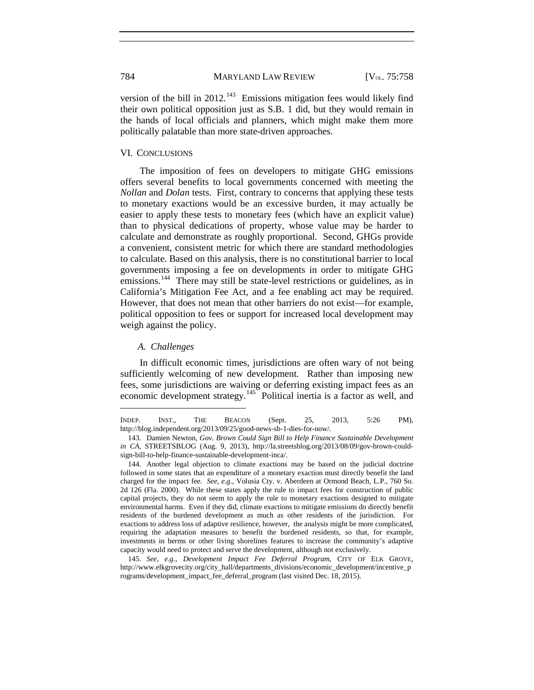version of the bill in 2012.<sup>[143](#page-27-0)</sup> Emissions mitigation fees would likely find their own political opposition just as S.B. 1 did, but they would remain in the hands of local officials and planners, which might make them more politically palatable than more state-driven approaches.

# VI. CONCLUSIONS

The imposition of fees on developers to mitigate GHG emissions offers several benefits to local governments concerned with meeting the *Nollan* and *Dolan* tests. First, contrary to concerns that applying these tests to monetary exactions would be an excessive burden, it may actually be easier to apply these tests to monetary fees (which have an explicit value) than to physical dedications of property, whose value may be harder to calculate and demonstrate as roughly proportional. Second, GHGs provide a convenient, consistent metric for which there are standard methodologies to calculate. Based on this analysis, there is no constitutional barrier to local governments imposing a fee on developments in order to mitigate GHG emissions.<sup>[144](#page-27-1)</sup> There may still be state-level restrictions or guidelines, as in California's Mitigation Fee Act, and a fee enabling act may be required. However, that does not mean that other barriers do not exist—for example, political opposition to fees or support for increased local development may weigh against the policy.

#### *A. Challenges*

 $\overline{a}$ 

In difficult economic times, jurisdictions are often wary of not being sufficiently welcoming of new development. Rather than imposing new fees, some jurisdictions are waiving or deferring existing impact fees as an economic development strategy.<sup>[145](#page-27-2)</sup> Political inertia is a factor as well, and

INDEP. INST., THE BEACON (Sept. 25, 2013, 5:26 PM), http://blog.independent.org/2013/09/25/good-news-sb-1-dies-for-now/.

<span id="page-27-0"></span><sup>143.</sup> Damien Newton, *Gov. Brown Could Sign Bill to Help Finance Sustainable Development in CA*, STREETSBLOG (Aug. 9, 2013), http://la.streetsblog.org/2013/08/09/gov-brown-couldsign-bill-to-help-finance-sustainable-development-inca/.

<span id="page-27-1"></span><sup>144.</sup> Another legal objection to climate exactions may be based on the judicial doctrine followed in some states that an expenditure of a monetary exaction must directly benefit the land charged for the impact fee. *See, e.g.*, Volusia Cty. v. Aberdeen at Ormond Beach, L.P., 760 So. 2d 126 (Fla. 2000). While these states apply the rule to impact fees for construction of public capital projects, they do not seem to apply the rule to monetary exactions designed to mitigate environmental harms. Even if they did, climate exactions to mitigate emissions do directly benefit residents of the burdened development as much as other residents of the jurisdiction. For exactions to address loss of adaptive resilience, however, the analysis might be more complicated, requiring the adaptation measures to benefit the burdened residents, so that, for example, investments in berms or other living shorelines features to increase the community's adaptive capacity would need to protect and serve the development, although not exclusively.

<span id="page-27-2"></span><sup>145.</sup> *See, e.g.*, *Development Impact Fee Deferral Program*, CITY OF ELK GROVE, http://www.elkgrovecity.org/city\_hall/departments\_divisions/economic\_development/incentive\_p rograms/development\_impact\_fee\_deferral\_program (last visited Dec. 18, 2015).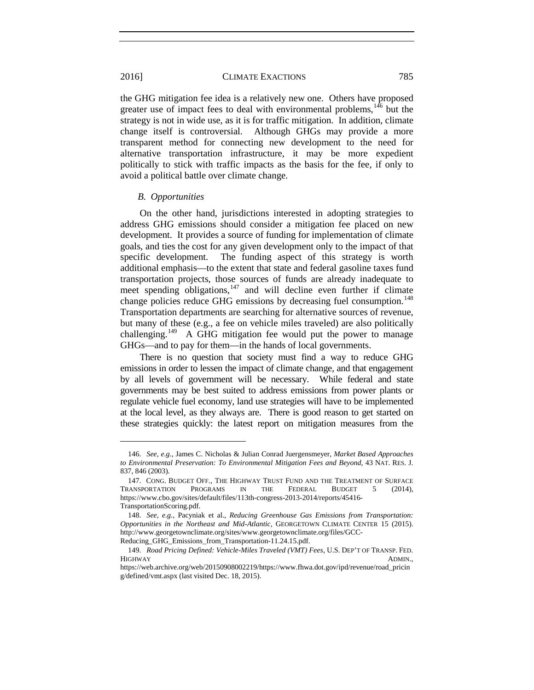the GHG mitigation fee idea is a relatively new one. Others have proposed greater use of impact fees to deal with environmental problems,  $146$  but the strategy is not in wide use, as it is for traffic mitigation. In addition, climate change itself is controversial. Although GHGs may provide a more transparent method for connecting new development to the need for alternative transportation infrastructure, it may be more expedient politically to stick with traffic impacts as the basis for the fee, if only to avoid a political battle over climate change.

# *B. Opportunities*

On the other hand, jurisdictions interested in adopting strategies to address GHG emissions should consider a mitigation fee placed on new development. It provides a source of funding for implementation of climate goals, and ties the cost for any given development only to the impact of that specific development. The funding aspect of this strategy is worth additional emphasis—to the extent that state and federal gasoline taxes fund transportation projects, those sources of funds are already inadequate to meet spending obligations, $147$  and will decline even further if climate change policies reduce GHG emissions by decreasing fuel consumption.<sup>[148](#page-28-2)</sup> Transportation departments are searching for alternative sources of revenue, but many of these (e.g., a fee on vehicle miles traveled) are also politically challenging.<sup>[149](#page-28-3)</sup> A GHG mitigation fee would put the power to manage GHGs—and to pay for them—in the hands of local governments.

There is no question that society must find a way to reduce GHG emissions in order to lessen the impact of climate change, and that engagement by all levels of government will be necessary. While federal and state governments may be best suited to address emissions from power plants or regulate vehicle fuel economy, land use strategies will have to be implemented at the local level, as they always are. There is good reason to get started on these strategies quickly: the latest report on mitigation measures from the

<span id="page-28-0"></span><sup>146.</sup> *See, e.g.*, James C. Nicholas & Julian Conrad Juergensmeyer, *Market Based Approaches to Environmental Preservation: To Environmental Mitigation Fees and Beyond*, 43 NAT. RES. J. 837, 846 (2003).

<span id="page-28-1"></span><sup>147.</sup> CONG. BUDGET OFF., THE HIGHWAY TRUST FUND AND THE TREATMENT OF SURFACE TRANSPORTATION PROGRAMS IN THE FEDERAL BUDGET 5 (2014), https://www.cbo.gov/sites/default/files/113th-congress-2013-2014/reports/45416- TransportationScoring.pdf*.*

<span id="page-28-2"></span><sup>148.</sup> *See, e.g.*, Pacyniak et al., *Reducing Greenhouse Gas Emissions from Transportation: Opportunities in the Northeast and Mid-Atlantic,* GEORGETOWN CLIMATE CENTER 15 (2015). http://www.georgetownclimate.org/sites/www.georgetownclimate.org/files/GCC-Reducing\_GHG\_Emissions\_from\_Transportation-11.24.15.pdf.

<span id="page-28-3"></span><sup>149.</sup> *Road Pricing Defined: Vehicle-Miles Traveled (VMT) Fees*, U.S. DEP'T OF TRANSP. FED. HIGHWAY ADMIN.,

https://web.archive.org/web/20150908002219/https://www.fhwa.dot.gov/ipd/revenue/road\_pricin g/defined/vmt.aspx (last visited Dec. 18, 2015).